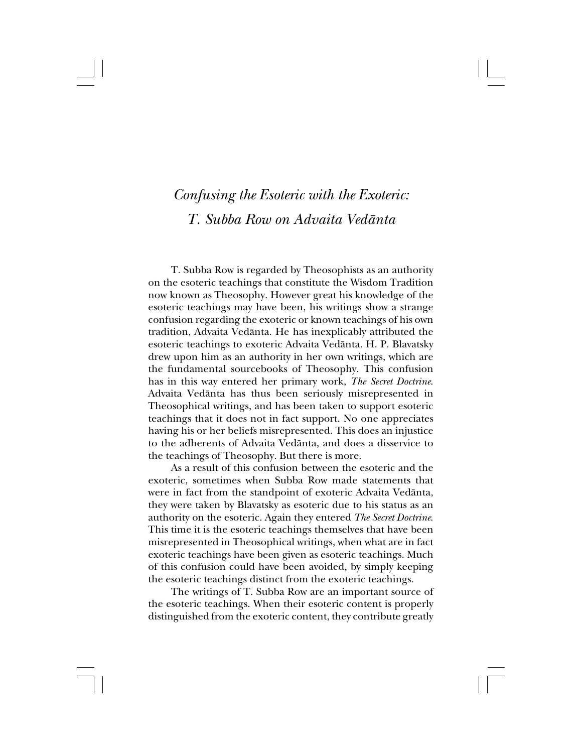# *Confusing the Esoteric with the Exoteric: T. Subba Row on Advaita Vedånta*

T. Subba Row is regarded by Theosophists as an authority on the esoteric teachings that constitute the Wisdom Tradition now known as Theosophy. However great his knowledge of the esoteric teachings may have been, his writings show a strange confusion regarding the exoteric or known teachings of his own tradition, Advaita Vedånta. He has inexplicably attributed the esoteric teachings to exoteric Advaita Vedånta. H. P. Blavatsky drew upon him as an authority in her own writings, which are the fundamental sourcebooks of Theosophy. This confusion has in this way entered her primary work, *The Secret Doctrine*. Advaita Vedånta has thus been seriously misrepresented in Theosophical writings, and has been taken to support esoteric teachings that it does not in fact support. No one appreciates having his or her beliefs misrepresented. This does an injustice to the adherents of Advaita Vedånta, and does a disservice to the teachings of Theosophy. But there is more.

As a result of this confusion between the esoteric and the exoteric, sometimes when Subba Row made statements that were in fact from the standpoint of exoteric Advaita Vedånta, they were taken by Blavatsky as esoteric due to his status as an authority on the esoteric. Again they entered *The Secret Doctrine*. This time it is the esoteric teachings themselves that have been misrepresented in Theosophical writings, when what are in fact exoteric teachings have been given as esoteric teachings. Much of this confusion could have been avoided, by simply keeping the esoteric teachings distinct from the exoteric teachings.

The writings of T. Subba Row are an important source of the esoteric teachings. When their esoteric content is properly distinguished from the exoteric content, they contribute greatly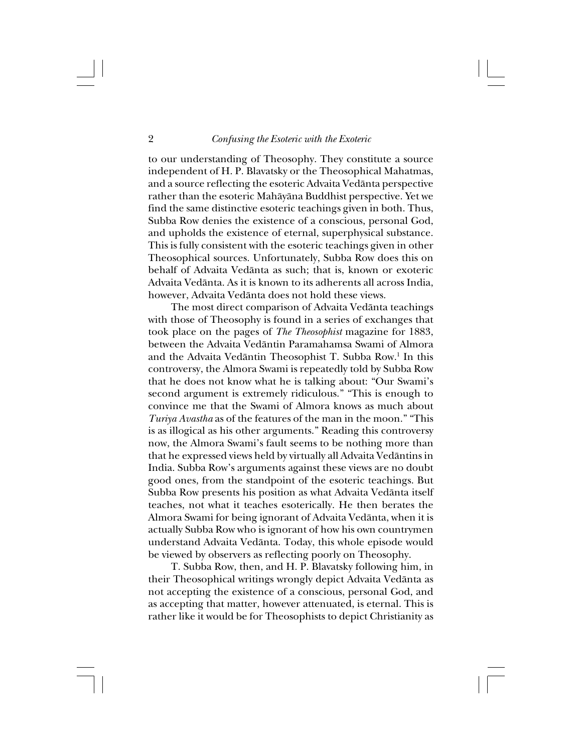to our understanding of Theosophy. They constitute a source independent of H. P. Blavatsky or the Theosophical Mahatmas, and a source reflecting the esoteric Advaita Vedånta perspective rather than the esoteric Mahåyåna Buddhist perspective. Yet we find the same distinctive esoteric teachings given in both. Thus, Subba Row denies the existence of a conscious, personal God, and upholds the existence of eternal, superphysical substance. This is fully consistent with the esoteric teachings given in other Theosophical sources. Unfortunately, Subba Row does this on behalf of Advaita Vedånta as such; that is, known or exoteric Advaita Vedånta. As it is known to its adherents all across India, however, Advaita Vedånta does not hold these views.

The most direct comparison of Advaita Vedånta teachings with those of Theosophy is found in a series of exchanges that took place on the pages of *The Theosophist* magazine for 1883, between the Advaita Vedåntin Paramahamsa Swami of Almora and the Advaita Vedāntin Theosophist T. Subba Row.<sup>1</sup> In this controversy, the Almora Swami is repeatedly told by Subba Row that he does not know what he is talking about: "Our Swami's second argument is extremely ridiculous." "This is enough to convince me that the Swami of Almora knows as much about *Turiya Avastha* as of the features of the man in the moon." "This is as illogical as his other arguments." Reading this controversy now, the Almora Swami's fault seems to be nothing more than that he expressed views held by virtually all Advaita Vedåntins in India. Subba Row's arguments against these views are no doubt good ones, from the standpoint of the esoteric teachings. But Subba Row presents his position as what Advaita Vedånta itself teaches, not what it teaches esoterically. He then berates the Almora Swami for being ignorant of Advaita Vedånta, when it is actually Subba Row who is ignorant of how his own countrymen understand Advaita Vedånta. Today, this whole episode would be viewed by observers as reflecting poorly on Theosophy.

T. Subba Row, then, and H. P. Blavatsky following him, in their Theosophical writings wrongly depict Advaita Vedånta as not accepting the existence of a conscious, personal God, and as accepting that matter, however attenuated, is eternal. This is rather like it would be for Theosophists to depict Christianity as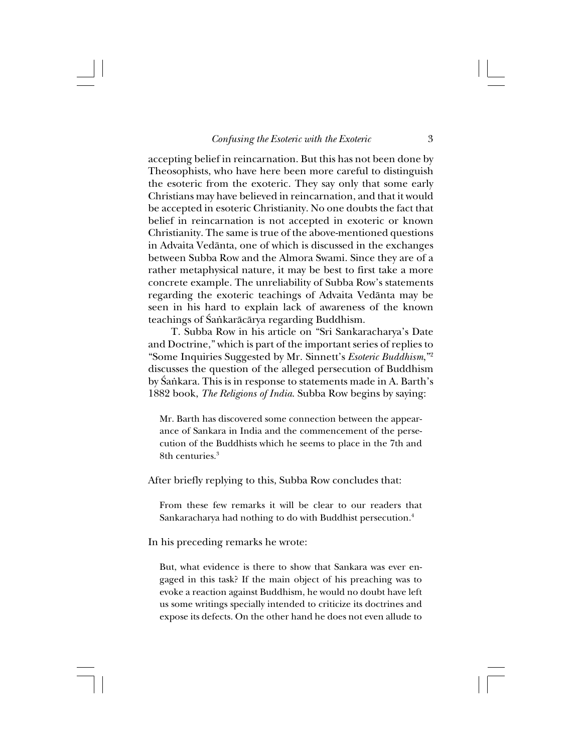accepting belief in reincarnation. But this has not been done by Theosophists, who have here been more careful to distinguish the esoteric from the exoteric. They say only that some early Christians may have believed in reincarnation, and that it would be accepted in esoteric Christianity. No one doubts the fact that belief in reincarnation is not accepted in exoteric or known Christianity. The same is true of the above-mentioned questions in Advaita Vedånta, one of which is discussed in the exchanges between Subba Row and the Almora Swami. Since they are of a rather metaphysical nature, it may be best to first take a more concrete example. The unreliability of Subba Row's statements regarding the exoteric teachings of Advaita Vedånta may be seen in his hard to explain lack of awareness of the known teachings of Śańkarācārya regarding Buddhism.

T. Subba Row in his article on "Sri Sankaracharya's Date and Doctrine," which is part of the important series of replies to "Some Inquiries Suggested by Mr. Sinnett's *Esoteric Buddhism*,"2 discusses the question of the alleged persecution of Buddhism by Śankara. This is in response to statements made in A. Barth's 1882 book, *The Religions of India*. Subba Row begins by saying:

Mr. Barth has discovered some connection between the appearance of Sankara in India and the commencement of the persecution of the Buddhists which he seems to place in the 7th and 8th centuries.3

After briefly replying to this, Subba Row concludes that:

From these few remarks it will be clear to our readers that Sankaracharya had nothing to do with Buddhist persecution.<sup>4</sup>

In his preceding remarks he wrote:

But, what evidence is there to show that Sankara was ever engaged in this task? If the main object of his preaching was to evoke a reaction against Buddhism, he would no doubt have left us some writings specially intended to criticize its doctrines and expose its defects. On the other hand he does not even allude to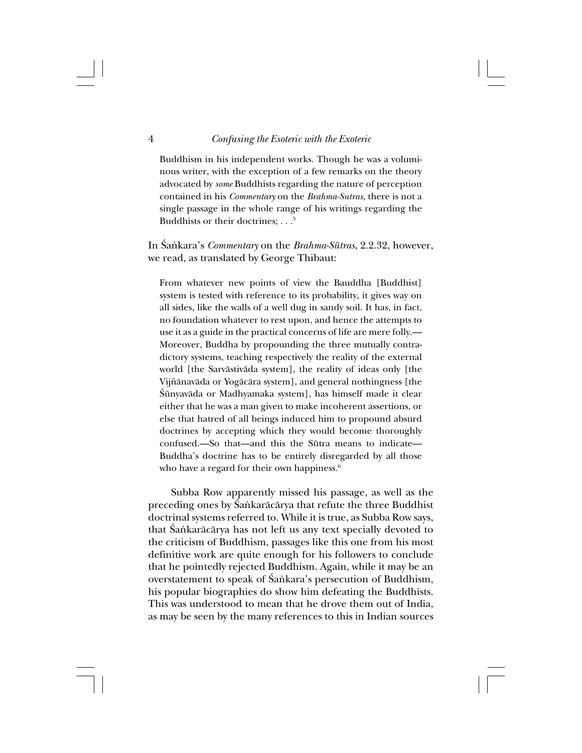## 4 *Confusing the Esoteric with the Exoteric*

Buddhism in his independent works. Though he was a voluminous writer, with the exception of a few remarks on the theory advocated by *some* Buddhists regarding the nature of perception contained in his *Commentary* on the *Brahma-Sutras*, there is not a single passage in the whole range of his writings regarding the Buddhists or their doctrines: . . .<sup>5</sup>

In Śankara's *Commentary* on the *Brahma-Sūtras*, 2.2.32, however, we read, as translated by George Thibaut:

From whatever new points of view the Bauddha [Buddhist] system is tested with reference to its probability, it gives way on all sides, like the walls of a well dug in sandy soil. It has, in fact, no foundation whatever to rest upon, and hence the attempts to use it as a guide in the practical concerns of life are mere folly.— Moreover, Buddha by propounding the three mutually contradictory systems, teaching respectively the reality of the external world [the Sarvåstivåda system], the reality of ideas only [the Vij∆ånavåda or Yogåcåra system], and general nothingness [the Śūnyavāda or Madhyamaka system], has himself made it clear either that he was a man given to make incoherent assertions, or else that hatred of all beings induced him to propound absurd doctrines by accepting which they would become thoroughly confused.—So that—and this the Sütra means to indicate— Buddha's doctrine has to be entirely disregarded by all those who have a regard for their own happiness.<sup>6</sup>

Subba Row apparently missed his passage, as well as the preceding ones by Śankarācārya that refute the three Buddhist doctrinal systems referred to. While it is true, as Subba Row says, that Śańkarācārya has not left us any text specially devoted to the criticism of Buddhism, passages like this one from his most definitive work are quite enough for his followers to conclude that he pointedly rejected Buddhism. Again, while it may be an overstatement to speak of Śańkara's persecution of Buddhism, his popular biographies do show him defeating the Buddhists. This was understood to mean that he drove them out of India, as may be seen by the many references to this in Indian sources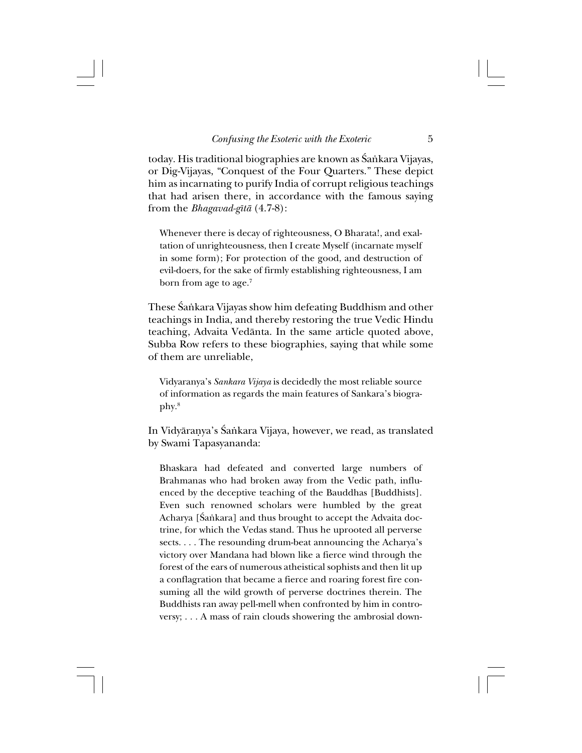today. His traditional biographies are known as Śańkara Vijayas, or Dig-Vijayas, "Conquest of the Four Quarters." These depict him as incarnating to purify India of corrupt religious teachings that had arisen there, in accordance with the famous saying from the *Bhagavad-gîtå* (4.7-8):

Whenever there is decay of righteousness, O Bharata!, and exaltation of unrighteousness, then I create Myself (incarnate myself in some form); For protection of the good, and destruction of evil-doers, for the sake of firmly establishing righteousness, I am born from age to age.<sup>7</sup>

These Śaṅkara Vijayas show him defeating Buddhism and other teachings in India, and thereby restoring the true Vedic Hindu teaching, Advaita Vedånta. In the same article quoted above, Subba Row refers to these biographies, saying that while some of them are unreliable,

Vidyaranya's *Sankara Vijaya* is decidedly the most reliable source of information as regards the main features of Sankara's biography.8

In Vidyāranya's Śańkara Vijaya, however, we read, as translated by Swami Tapasyananda:

Bhaskara had defeated and converted large numbers of Brahmanas who had broken away from the Vedic path, influenced by the deceptive teaching of the Bauddhas [Buddhists]. Even such renowned scholars were humbled by the great Acharya [Śaṅkara] and thus brought to accept the Advaita doctrine, for which the Vedas stand. Thus he uprooted all perverse sects. . . . The resounding drum-beat announcing the Acharya's victory over Mandana had blown like a fierce wind through the forest of the ears of numerous atheistical sophists and then lit up a conflagration that became a fierce and roaring forest fire consuming all the wild growth of perverse doctrines therein. The Buddhists ran away pell-mell when confronted by him in controversy; . . . A mass of rain clouds showering the ambrosial down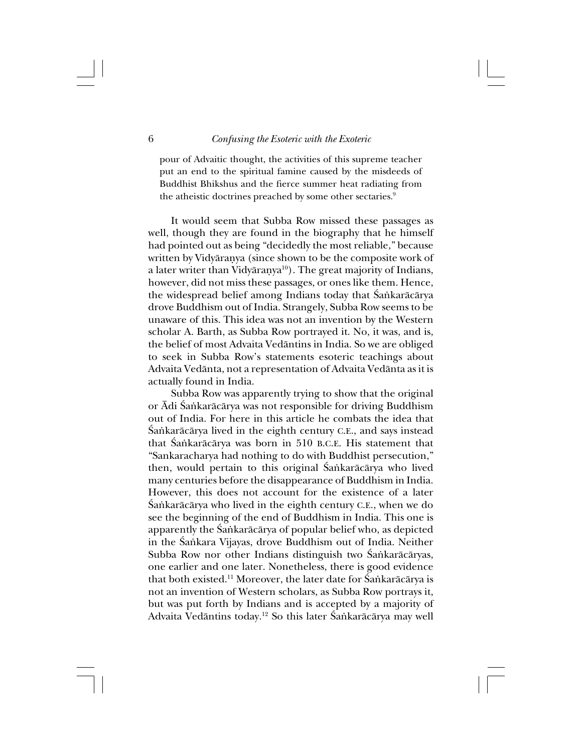pour of Advaitic thought, the activities of this supreme teacher put an end to the spiritual famine caused by the misdeeds of Buddhist Bhikshus and the fierce summer heat radiating from the atheistic doctrines preached by some other sectaries.<sup>9</sup>

It would seem that Subba Row missed these passages as well, though they are found in the biography that he himself had pointed out as being "decidedly the most reliable," because written by Vidyårañya (since shown to be the composite work of a later writer than Vidyāranya<sup>10</sup>). The great majority of Indians, however, did not miss these passages, or ones like them. Hence, the widespread belief among Indians today that Śańkarācārya drove Buddhism out of India. Strangely, Subba Row seems to be unaware of this. This idea was not an invention by the Western scholar A. Barth, as Subba Row portrayed it. No, it was, and is, the belief of most Advaita Vedåntins in India. So we are obliged to seek in Subba Row's statements esoteric teachings about Advaita Vedånta, not a representation of Advaita Vedånta as it is actually found in India.

Subba Row was apparently trying to show that the original or Ādi Śankarācārya was not responsible for driving Buddhism out of India. For here in this article he combats the idea that Śańkarācārya lived in the eighth century C.E., and says instead that Śańkarācārya was born in 510 B.C.E. His statement that "Sankaracharya had nothing to do with Buddhist persecution," then, would pertain to this original Śankarācārya who lived many centuries before the disappearance of Buddhism in India. However, this does not account for the existence of a later Śankarācārya who lived in the eighth century C.E., when we do see the beginning of the end of Buddhism in India. This one is apparently the Śaṅkarācārya of popular belief who, as depicted in the Śańkara Vijayas, drove Buddhism out of India. Neither Subba Row nor other Indians distinguish two Śańkarācāryas, one earlier and one later. Nonetheless, there is good evidence that both existed.<sup>11</sup> Moreover, the later date for  $\hat{S}$ ankarācārya is not an invention of Western scholars, as Subba Row portrays it, but was put forth by Indians and is accepted by a majority of Advaita Vedāntins today.<sup>12</sup> So this later Śaṅkarācārya may well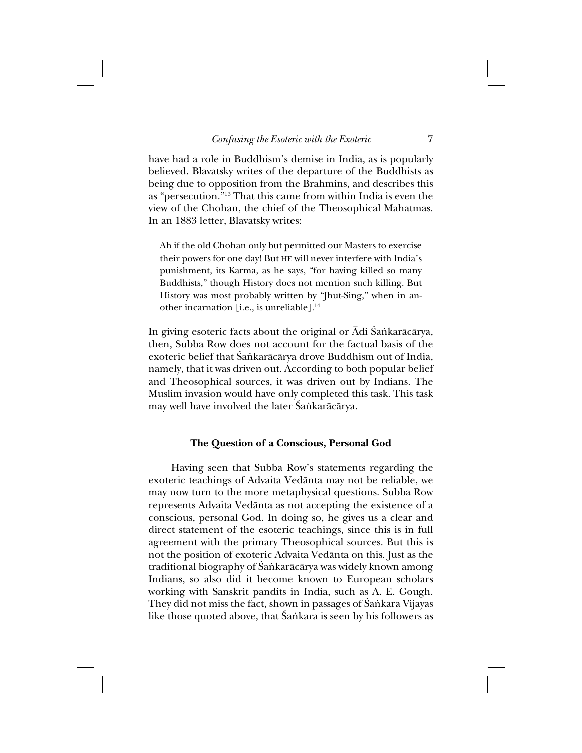have had a role in Buddhism's demise in India, as is popularly believed. Blavatsky writes of the departure of the Buddhists as being due to opposition from the Brahmins, and describes this as "persecution."13 That this came from within India is even the view of the Chohan, the chief of the Theosophical Mahatmas. In an 1883 letter, Blavatsky writes:

Ah if the old Chohan only but permitted our Masters to exercise their powers for one day! But HE will never interfere with India's punishment, its Karma, as he says, "for having killed so many Buddhists," though History does not mention such killing. But History was most probably written by "Jhut-Sing," when in another incarnation [i.e., is unreliable].14

In giving esoteric facts about the original or Ādi Śankarācārya, then, Subba Row does not account for the factual basis of the exoteric belief that Śankarācārya drove Buddhism out of India, namely, that it was driven out. According to both popular belief and Theosophical sources, it was driven out by Indians. The Muslim invasion would have only completed this task. This task may well have involved the later Śańkarācārya.

#### **The Question of a Conscious, Personal God**

Having seen that Subba Row's statements regarding the exoteric teachings of Advaita Vedånta may not be reliable, we may now turn to the more metaphysical questions. Subba Row represents Advaita Vedånta as not accepting the existence of a conscious, personal God. In doing so, he gives us a clear and direct statement of the esoteric teachings, since this is in full agreement with the primary Theosophical sources. But this is not the position of exoteric Advaita Vedånta on this. Just as the traditional biography of Śańkarācārya was widely known among Indians, so also did it become known to European scholars working with Sanskrit pandits in India, such as A. E. Gough. They did not miss the fact, shown in passages of Śańkara Vijayas like those quoted above, that Śaṅkara is seen by his followers as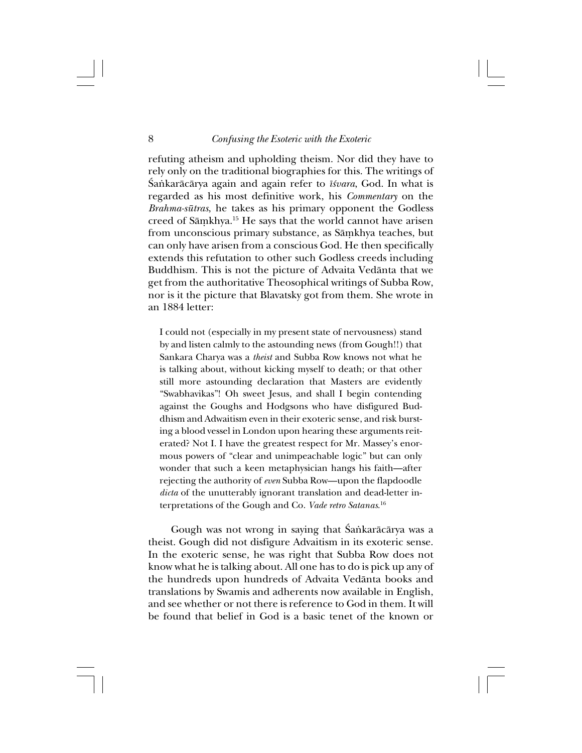refuting atheism and upholding theism. Nor did they have to rely only on the traditional biographies for this. The writings of ˛a∫karåcårya again and again refer to *î≈vara*, God. In what is regarded as his most definitive work, his *Commentary* on the *Brahma-sütras*, he takes as his primary opponent the Godless creed of Sāmkhya.<sup>15</sup> He says that the world cannot have arisen from unconscious primary substance, as Sāmkhya teaches, but can only have arisen from a conscious God. He then specifically extends this refutation to other such Godless creeds including Buddhism. This is not the picture of Advaita Vedånta that we get from the authoritative Theosophical writings of Subba Row, nor is it the picture that Blavatsky got from them. She wrote in an 1884 letter:

I could not (especially in my present state of nervousness) stand by and listen calmly to the astounding news (from Gough!!) that Sankara Charya was a *theist* and Subba Row knows not what he is talking about, without kicking myself to death; or that other still more astounding declaration that Masters are evidently "Swabhavikas"! Oh sweet Jesus, and shall I begin contending against the Goughs and Hodgsons who have disfigured Buddhism and Adwaitism even in their exoteric sense, and risk bursting a blood vessel in London upon hearing these arguments reiterated? Not I. I have the greatest respect for Mr. Massey's enormous powers of "clear and unimpeachable logic" but can only wonder that such a keen metaphysician hangs his faith—after rejecting the authority of *even* Subba Row—upon the flapdoodle *dicta* of the unutterably ignorant translation and dead-letter interpretations of the Gough and Co. *Vade retro Satanas*. 16

Gough was not wrong in saying that Śankarācārya was a theist. Gough did not disfigure Advaitism in its exoteric sense. In the exoteric sense, he was right that Subba Row does not know what he is talking about. All one has to do is pick up any of the hundreds upon hundreds of Advaita Vedånta books and translations by Swamis and adherents now available in English, and see whether or not there is reference to God in them. It will be found that belief in God is a basic tenet of the known or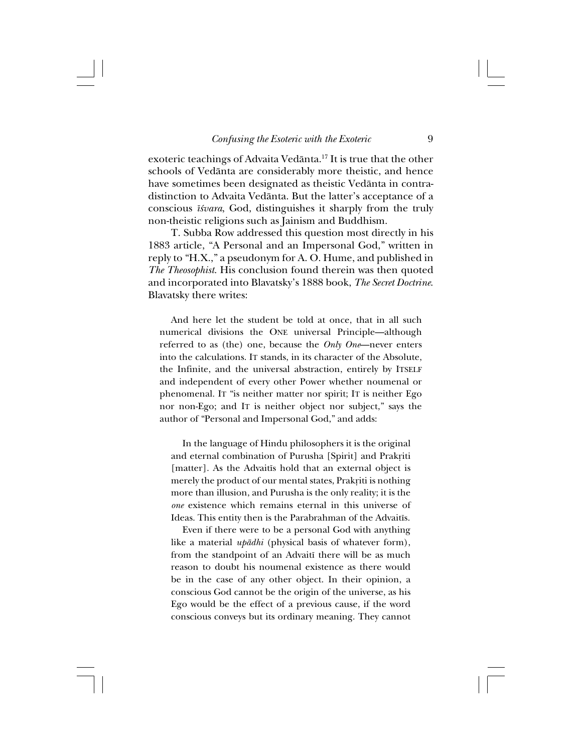exoteric teachings of Advaita Vedånta.17 It is true that the other schools of Vedånta are considerably more theistic, and hence have sometimes been designated as theistic Vedånta in contradistinction to Advaita Vedånta. But the latter's acceptance of a conscious *î≈vara*, God, distinguishes it sharply from the truly non-theistic religions such as Jainism and Buddhism.

T. Subba Row addressed this question most directly in his 1883 article, "A Personal and an Impersonal God," written in reply to "H.X.," a pseudonym for A. O. Hume, and published in *The Theosophist*. His conclusion found therein was then quoted and incorporated into Blavatsky's 1888 book, *The Secret Doctrine*. Blavatsky there writes:

And here let the student be told at once, that in all such numerical divisions the ONE universal Principle—although referred to as (the) one, because the *Only One*—never enters into the calculations. IT stands, in its character of the Absolute, the Infinite, and the universal abstraction, entirely by ITSELF and independent of every other Power whether noumenal or phenomenal. IT "is neither matter nor spirit; IT is neither Ego nor non-Ego; and IT is neither object nor subject," says the author of "Personal and Impersonal God," and adds:

In the language of Hindu philosophers it is the original and eternal combination of Purusha [Spirit] and Prakriti [matter]. As the Advait is hold that an external object is merely the product of our mental states, Prakriti is nothing more than illusion, and Purusha is the only reality; it is the *one* existence which remains eternal in this universe of Ideas. This entity then is the Parabrahman of the Advaitîs.

Even if there were to be a personal God with anything like a material *upådhi* (physical basis of whatever form), from the standpoint of an Advaitî there will be as much reason to doubt his noumenal existence as there would be in the case of any other object. In their opinion, a conscious God cannot be the origin of the universe, as his Ego would be the effect of a previous cause, if the word conscious conveys but its ordinary meaning. They cannot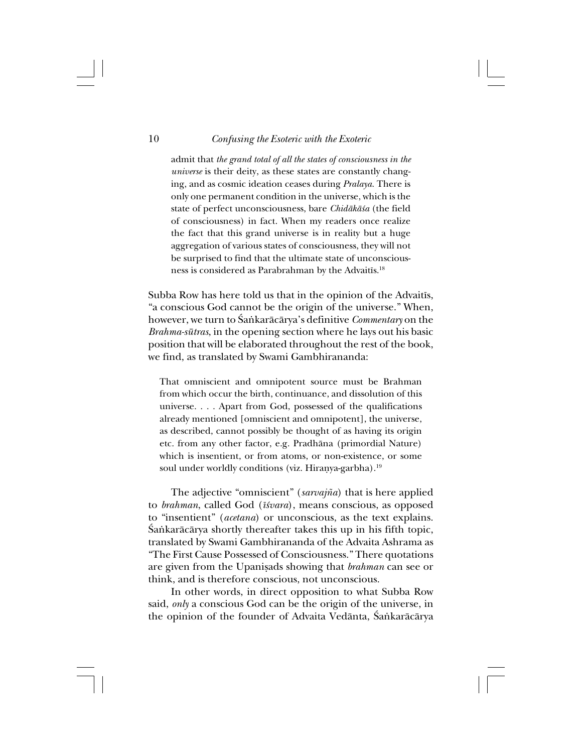#### 10 *Confusing the Esoteric with the Exoteric*

admit that *the grand total of all the states of consciousness in the universe* is their deity, as these states are constantly changing, and as cosmic ideation ceases during *Pralaya*. There is only one permanent condition in the universe, which is the state of perfect unconsciousness, bare *Chidåkå≈a* (the field of consciousness) in fact. When my readers once realize the fact that this grand universe is in reality but a huge aggregation of various states of consciousness, they will not be surprised to find that the ultimate state of unconsciousness is considered as Parabrahman by the Advaitîs.18

Subba Row has here told us that in the opinion of the Advaitîs, "a conscious God cannot be the origin of the universe." When, however, we turn to Śaṅkarācārya's definitive *Commentary* on the *Brahma-sütras*, in the opening section where he lays out his basic position that will be elaborated throughout the rest of the book, we find, as translated by Swami Gambhirananda:

That omniscient and omnipotent source must be Brahman from which occur the birth, continuance, and dissolution of this universe. . . . Apart from God, possessed of the qualifications already mentioned [omniscient and omnipotent], the universe, as described, cannot possibly be thought of as having its origin etc. from any other factor, e.g. Pradhåna (primordial Nature) which is insentient, or from atoms, or non-existence, or some soul under worldly conditions (viz. Hiranya-garbha).<sup>19</sup>

The adjective "omniscient" (*sarvajña*) that is here applied to *brahman*, called God (*î≈vara*), means conscious, as opposed to "insentient" (*acetana*) or unconscious, as the text explains. Śańkarācārya shortly thereafter takes this up in his fifth topic, translated by Swami Gambhirananda of the Advaita Ashrama as "The First Cause Possessed of Consciousness." There quotations are given from the Upanisads showing that *brahman* can see or think, and is therefore conscious, not unconscious.

In other words, in direct opposition to what Subba Row said, *only* a conscious God can be the origin of the universe, in the opinion of the founder of Advaita Vedānta, Śańkarācārya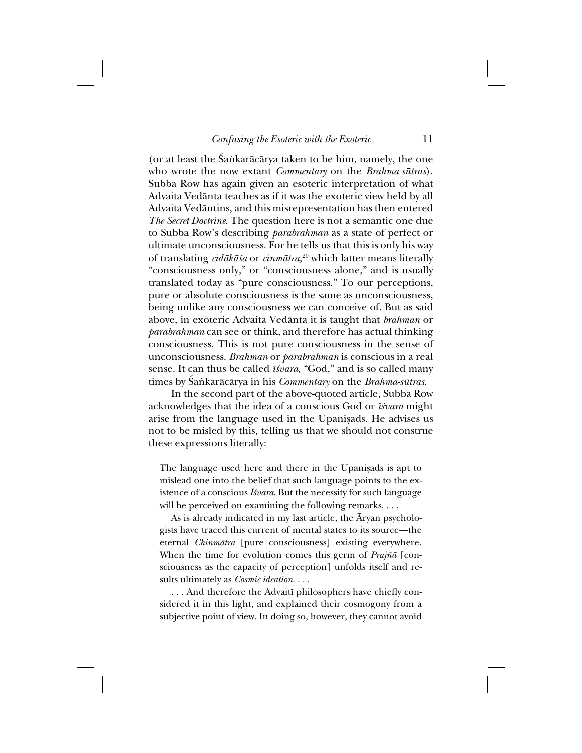(or at least the Śaṅkarācārya taken to be him, namely, the one who wrote the now extant *Commentary* on the *Brahma-sütras*). Subba Row has again given an esoteric interpretation of what Advaita Vedånta teaches as if it was the exoteric view held by all Advaita Vedåntins, and this misrepresentation has then entered *The Secret Doctrine*. The question here is not a semantic one due to Subba Row's describing *parabrahman* as a state of perfect or ultimate unconsciousness. For he tells us that this is only his way of translating *cidåkå≈a* or *cinmåtra*, 20 which latter means literally "consciousness only," or "consciousness alone," and is usually translated today as "pure consciousness." To our perceptions, pure or absolute consciousness is the same as unconsciousness, being unlike any consciousness we can conceive of. But as said above, in exoteric Advaita Vedånta it is taught that *brahman* or *parabrahman* can see or think, and therefore has actual thinking consciousness. This is not pure consciousness in the sense of unconsciousness. *Brahman* or *parabrahman* is conscious in a real sense. It can thus be called *īśvara*, "God," and is so called many times by ˛a∫karåcårya in his *Commentary* on the *Brahma-sütras*.

In the second part of the above-quoted article, Subba Row acknowledges that the idea of a conscious God or *î≈vara* might arise from the language used in the Upanisads. He advises us not to be misled by this, telling us that we should not construe these expressions literally:

The language used here and there in the Upanisads is apt to mislead one into the belief that such language points to the existence of a conscious *ˆ≈vara*. But the necessity for such language will be perceived on examining the following remarks. . . .

As is already indicated in my last article, the Åryan psychologists have traced this current of mental states to its source—the eternal *Chinmåtra* [pure consciousness] existing everywhere. When the time for evolution comes this germ of *Prajñ*<sup>a</sup> [consciousness as the capacity of perception] unfolds itself and results ultimately as *Cosmic ideation*. . . .

. . . And therefore the Advaitî philosophers have chiefly considered it in this light, and explained their cosmogony from a subjective point of view. In doing so, however, they cannot avoid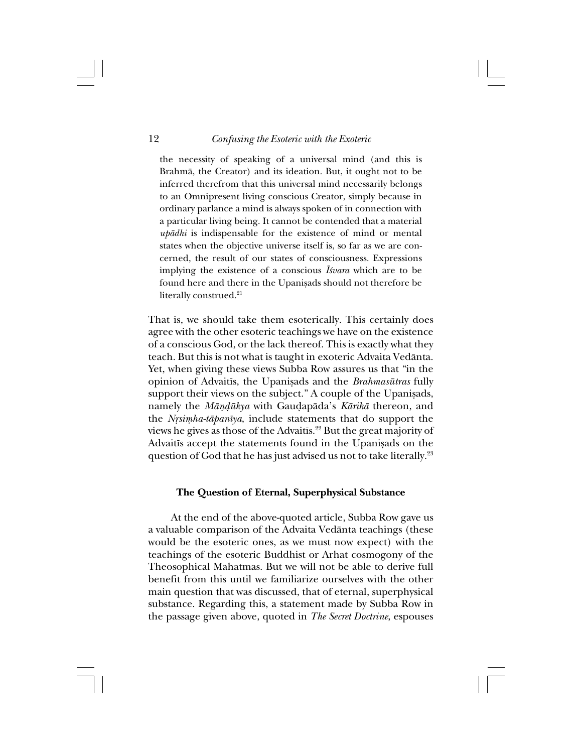#### 12 *Confusing the Esoteric with the Exoteric*

the necessity of speaking of a universal mind (and this is Brahmå, the Creator) and its ideation. But, it ought not to be inferred therefrom that this universal mind necessarily belongs to an Omnipresent living conscious Creator, simply because in ordinary parlance a mind is always spoken of in connection with a particular living being. It cannot be contended that a material *upådhi* is indispensable for the existence of mind or mental states when the objective universe itself is, so far as we are concerned, the result of our states of consciousness. Expressions implying the existence of a conscious *Īsvara* which are to be found here and there in the Upanisads should not therefore be literally construed.<sup>21</sup>

That is, we should take them esoterically. This certainly does agree with the other esoteric teachings we have on the existence of a conscious God, or the lack thereof. This is exactly what they teach. But this is not what is taught in exoteric Advaita Vedånta. Yet, when giving these views Subba Row assures us that "in the opinion of Advaitīs, the Upanisads and the *Brahmasūtras* fully support their views on the subject." A couple of the Upanisads, namely the *Måñ∂ükya* with Gau∂apåda's *Kårikå* thereon, and the *Nrsimha-tāpanīya*, include statements that do support the views he gives as those of the Advaitîs.22 But the great majority of Advaitīs accept the statements found in the Upanisads on the question of God that he has just advised us not to take literally.23

#### **The Question of Eternal, Superphysical Substance**

At the end of the above-quoted article, Subba Row gave us a valuable comparison of the Advaita Vedånta teachings (these would be the esoteric ones, as we must now expect) with the teachings of the esoteric Buddhist or Arhat cosmogony of the Theosophical Mahatmas. But we will not be able to derive full benefit from this until we familiarize ourselves with the other main question that was discussed, that of eternal, superphysical substance. Regarding this, a statement made by Subba Row in the passage given above, quoted in *The Secret Doctrine*, espouses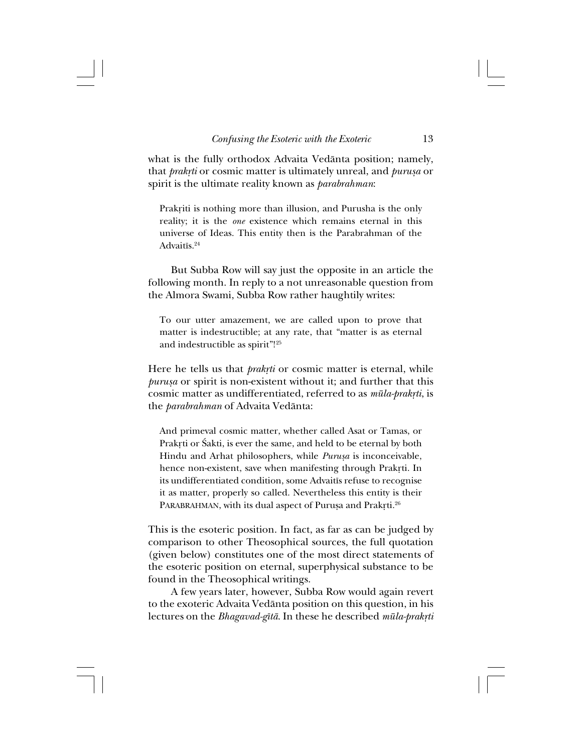what is the fully orthodox Advaita Vedånta position; namely, that *prakrti* or cosmic matter is ultimately unreal, and *purusa* or spirit is the ultimate reality known as *parabrahman*:

Prakriti is nothing more than illusion, and Purusha is the only reality; it is the *one* existence which remains eternal in this universe of Ideas. This entity then is the Parabrahman of the Advaitîs.24

But Subba Row will say just the opposite in an article the following month. In reply to a not unreasonable question from the Almora Swami, Subba Row rather haughtily writes:

To our utter amazement, we are called upon to prove that matter is indestructible; at any rate, that "matter is as eternal and indestructible as spirit"!25

Here he tells us that *prakrti* or cosmic matter is eternal, while *purußa* or spirit is non-existent without it; and further that this cosmic matter as undifferentiated, referred to as  $m\bar{u}la$ -prakrti, is the *parabrahman* of Advaita Vedånta:

And primeval cosmic matter, whether called Asat or Tamas, or Prakrti or Śakti, is ever the same, and held to be eternal by both Hindu and Arhat philosophers, while *Purusa* is inconceivable, hence non-existent, save when manifesting through Prakrti. In its undifferentiated condition, some Advaitîs refuse to recognise it as matter, properly so called. Nevertheless this entity is their PARABRAHMAN, with its dual aspect of Purușa and Prakrti.<sup>26</sup>

This is the esoteric position. In fact, as far as can be judged by comparison to other Theosophical sources, the full quotation (given below) constitutes one of the most direct statements of the esoteric position on eternal, superphysical substance to be found in the Theosophical writings.

A few years later, however, Subba Row would again revert to the exoteric Advaita Vedånta position on this question, in his lectures on the *Bhagavad-gītā*. In these he described *mūla-prakṛti*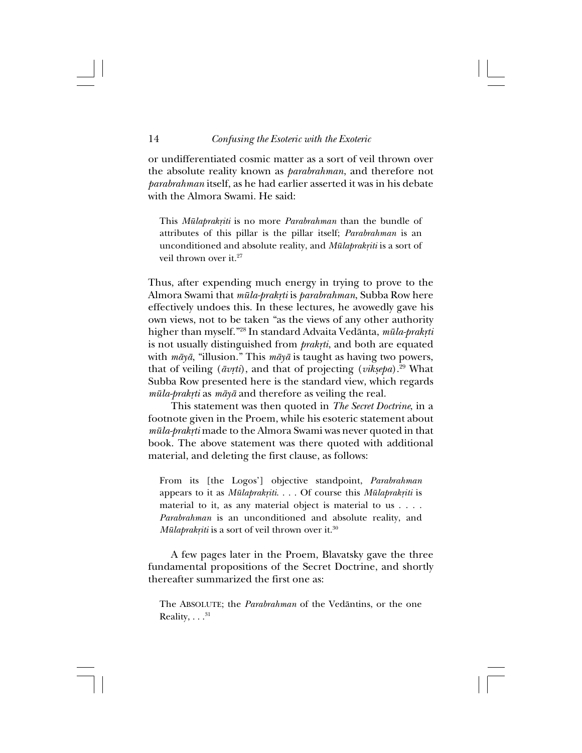or undifferentiated cosmic matter as a sort of veil thrown over the absolute reality known as *parabrahman*, and therefore not *parabrahman* itself, as he had earlier asserted it was in his debate with the Almora Swami. He said:

This *Mūlaprakriti* is no more *Parabrahman* than the bundle of attributes of this pillar is the pillar itself; *Parabrahman* is an unconditioned and absolute reality, and *Mūlaprakriti* is a sort of veil thrown over it.<sup>27</sup>

Thus, after expending much energy in trying to prove to the Almora Swami that *müla-prak®ti* is *parabrahman*, Subba Row here effectively undoes this. In these lectures, he avowedly gave his own views, not to be taken "as the views of any other authority higher than myself."<sup>28</sup> In standard Advaita Vedānta, *mūla-prakṛti* is not usually distinguished from *prakrti*, and both are equated with *måyå*, "illusion." This *måyå* is taught as having two powers, that of veiling ( $\bar{a}v\tau t\bar{i}$ ), and that of projecting (*viksepa*).<sup>29</sup> What Subba Row presented here is the standard view, which regards *müla-prak®ti* as *måyå* and therefore as veiling the real.

This statement was then quoted in *The Secret Doctrine*, in a footnote given in the Proem, while his esoteric statement about *mūla-prakrti* made to the Almora Swami was never quoted in that book. The above statement was there quoted with additional material, and deleting the first clause, as follows:

From its [the Logos'] objective standpoint, *Parabrahman* appears to it as *Mūlaprakriti.* . . . Of course this *Mūlaprakriti* is material to it, as any material object is material to us . . . . *Parabrahman* is an unconditioned and absolute reality, and *Mūlaprakriti* is a sort of veil thrown over it.<sup>30</sup>

A few pages later in the Proem, Blavatsky gave the three fundamental propositions of the Secret Doctrine, and shortly thereafter summarized the first one as:

The ABSOLUTE; the *Parabrahman* of the Vedåntins, or the one Reality,  $\dots$ .<sup>31</sup>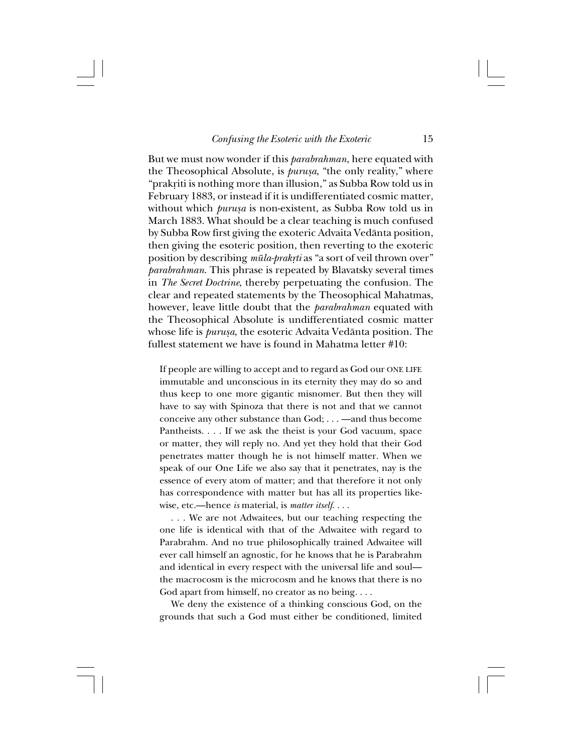But we must now wonder if this *parabrahman*, here equated with the Theosophical Absolute, is *purusa*, "the only reality," where "prakriti is nothing more than illusion," as Subba Row told us in February 1883, or instead if it is undifferentiated cosmic matter, without which *purusa* is non-existent, as Subba Row told us in March 1883. What should be a clear teaching is much confused by Subba Row first giving the exoteric Advaita Vedånta position, then giving the esoteric position, then reverting to the exoteric position by describing *mūla-prakrti* as "a sort of veil thrown over" *parabrahman*. This phrase is repeated by Blavatsky several times in *The Secret Doctrine*, thereby perpetuating the confusion. The clear and repeated statements by the Theosophical Mahatmas, however, leave little doubt that the *parabrahman* equated with the Theosophical Absolute is undifferentiated cosmic matter whose life is *purußa*, the esoteric Advaita Vedånta position. The fullest statement we have is found in Mahatma letter #10:

If people are willing to accept and to regard as God our ONE LIFE immutable and unconscious in its eternity they may do so and thus keep to one more gigantic misnomer. But then they will have to say with Spinoza that there is not and that we cannot conceive any other substance than God; . . . —and thus become Pantheists. . . . If we ask the theist is your God vacuum, space or matter, they will reply no. And yet they hold that their God penetrates matter though he is not himself matter. When we speak of our One Life we also say that it penetrates, nay is the essence of every atom of matter; and that therefore it not only has correspondence with matter but has all its properties likewise, etc.—hence *is* material, is *matter itself*. . . .

. . . We are not Adwaitees, but our teaching respecting the one life is identical with that of the Adwaitee with regard to Parabrahm. And no true philosophically trained Adwaitee will ever call himself an agnostic, for he knows that he is Parabrahm and identical in every respect with the universal life and soul the macrocosm is the microcosm and he knows that there is no God apart from himself, no creator as no being. . . .

We deny the existence of a thinking conscious God, on the grounds that such a God must either be conditioned, limited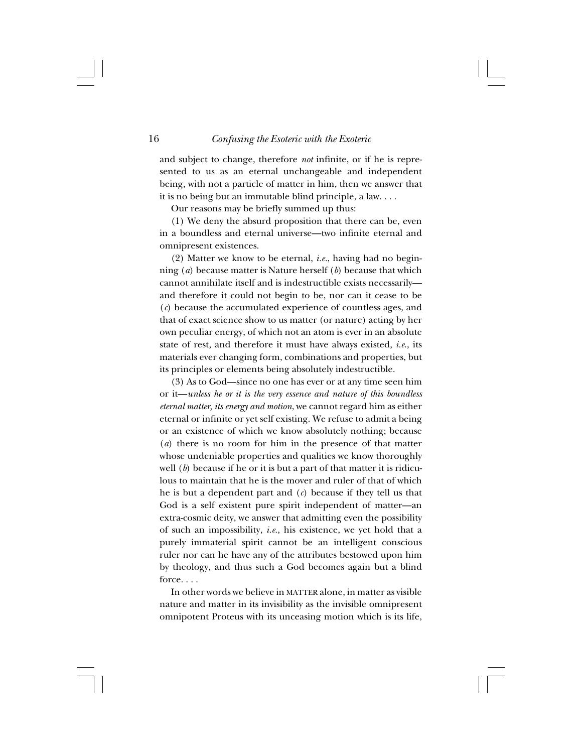and subject to change, therefore *not* infinite, or if he is represented to us as an eternal unchangeable and independent being, with not a particle of matter in him, then we answer that it is no being but an immutable blind principle, a law. . . .

Our reasons may be briefly summed up thus:

(1) We deny the absurd proposition that there can be, even in a boundless and eternal universe—two infinite eternal and omnipresent existences.

(2) Matter we know to be eternal, *i.e.*, having had no beginning (*a*) because matter is Nature herself (*b*) because that which cannot annihilate itself and is indestructible exists necessarily and therefore it could not begin to be, nor can it cease to be (*c*) because the accumulated experience of countless ages, and that of exact science show to us matter (or nature) acting by her own peculiar energy, of which not an atom is ever in an absolute state of rest, and therefore it must have always existed, *i.e*., its materials ever changing form, combinations and properties, but its principles or elements being absolutely indestructible.

(3) As to God—since no one has ever or at any time seen him or it—*unless he or it is the very essence and nature of this boundless eternal matter, its energy and motion*, we cannot regard him as either eternal or infinite or yet self existing. We refuse to admit a being or an existence of which we know absolutely nothing; because (*a*) there is no room for him in the presence of that matter whose undeniable properties and qualities we know thoroughly well (*b*) because if he or it is but a part of that matter it is ridiculous to maintain that he is the mover and ruler of that of which he is but a dependent part and (*c*) because if they tell us that God is a self existent pure spirit independent of matter—an extra-cosmic deity, we answer that admitting even the possibility of such an impossibility, *i.e.*, his existence, we yet hold that a purely immaterial spirit cannot be an intelligent conscious ruler nor can he have any of the attributes bestowed upon him by theology, and thus such a God becomes again but a blind force. . . .

In other words we believe in MATTER alone, in matter as visible nature and matter in its invisibility as the invisible omnipresent omnipotent Proteus with its unceasing motion which is its life,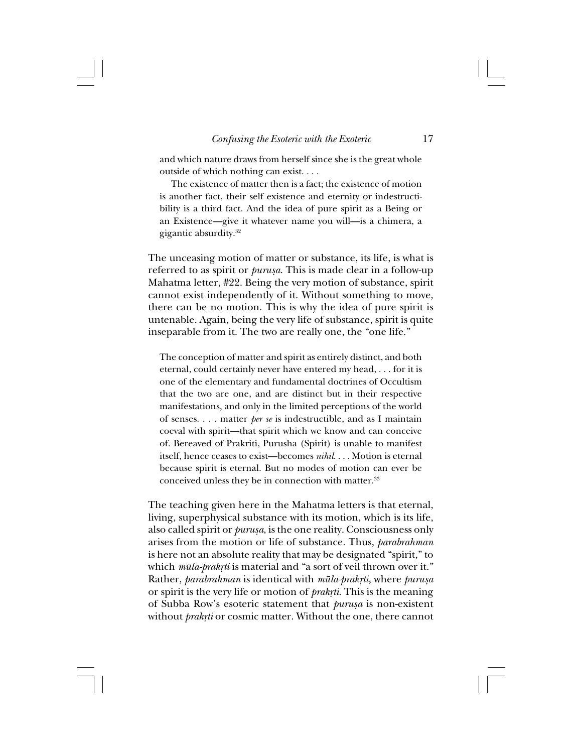and which nature draws from herself since she is the great whole outside of which nothing can exist. . . .

The existence of matter then is a fact; the existence of motion is another fact, their self existence and eternity or indestructibility is a third fact. And the idea of pure spirit as a Being or an Existence—give it whatever name you will—is a chimera, a gigantic absurdity.32

The unceasing motion of matter or substance, its life, is what is referred to as spirit or *purusa*. This is made clear in a follow-up Mahatma letter, #22. Being the very motion of substance, spirit cannot exist independently of it. Without something to move, there can be no motion. This is why the idea of pure spirit is untenable. Again, being the very life of substance, spirit is quite inseparable from it. The two are really one, the "one life."

The conception of matter and spirit as entirely distinct, and both eternal, could certainly never have entered my head, . . . for it is one of the elementary and fundamental doctrines of Occultism that the two are one, and are distinct but in their respective manifestations, and only in the limited perceptions of the world of senses. . . . matter *per se* is indestructible, and as I maintain coeval with spirit—that spirit which we know and can conceive of. Bereaved of Prakriti, Purusha (Spirit) is unable to manifest itself, hence ceases to exist—becomes *nihil*. . . . Motion is eternal because spirit is eternal. But no modes of motion can ever be conceived unless they be in connection with matter.<sup>33</sup>

The teaching given here in the Mahatma letters is that eternal, living, superphysical substance with its motion, which is its life, also called spirit or *purusa*, is the one reality. Consciousness only arises from the motion or life of substance. Thus, *parabrahman* is here not an absolute reality that may be designated "spirit," to which *mūla-prakrti* is material and "a sort of veil thrown over it." Rather, *parabrahman* is identical with *mūla-prakrti*, where *purusa* or spirit is the very life or motion of *prakrti*. This is the meaning of Subba Row's esoteric statement that *purusa* is non-existent without *prakrti* or cosmic matter. Without the one, there cannot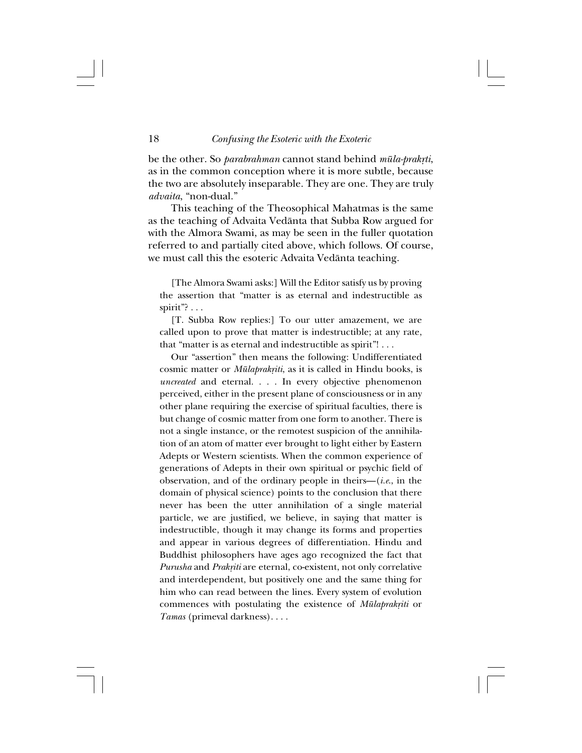be the other. So *parabrahman* cannot stand behind *mūla-prakrti*, as in the common conception where it is more subtle, because the two are absolutely inseparable. They are one. They are truly *advaita*, "non-dual."

This teaching of the Theosophical Mahatmas is the same as the teaching of Advaita Vedånta that Subba Row argued for with the Almora Swami, as may be seen in the fuller quotation referred to and partially cited above, which follows. Of course, we must call this the esoteric Advaita Vedånta teaching.

[The Almora Swami asks:] Will the Editor satisfy us by proving the assertion that "matter is as eternal and indestructible as spirit"?  $\ldots$ 

[T. Subba Row replies:] To our utter amazement, we are called upon to prove that matter is indestructible; at any rate, that "matter is as eternal and indestructible as spirit"! . . .

Our "assertion" then means the following: Undifferentiated cosmic matter or *Mūlaprakṛiti*, as it is called in Hindu books, is *uncreated* and eternal. . . . In every objective phenomenon perceived, either in the present plane of consciousness or in any other plane requiring the exercise of spiritual faculties, there is but change of cosmic matter from one form to another. There is not a single instance, or the remotest suspicion of the annihilation of an atom of matter ever brought to light either by Eastern Adepts or Western scientists. When the common experience of generations of Adepts in their own spiritual or psychic field of observation, and of the ordinary people in theirs—(*i.e*., in the domain of physical science) points to the conclusion that there never has been the utter annihilation of a single material particle, we are justified, we believe, in saying that matter is indestructible, though it may change its forms and properties and appear in various degrees of differentiation. Hindu and Buddhist philosophers have ages ago recognized the fact that *Purusha* and *Prak®iti* are eternal, co-existent, not only correlative and interdependent, but positively one and the same thing for him who can read between the lines. Every system of evolution commences with postulating the existence of *Mūlaprakriti* or *Tamas* (primeval darkness). . . .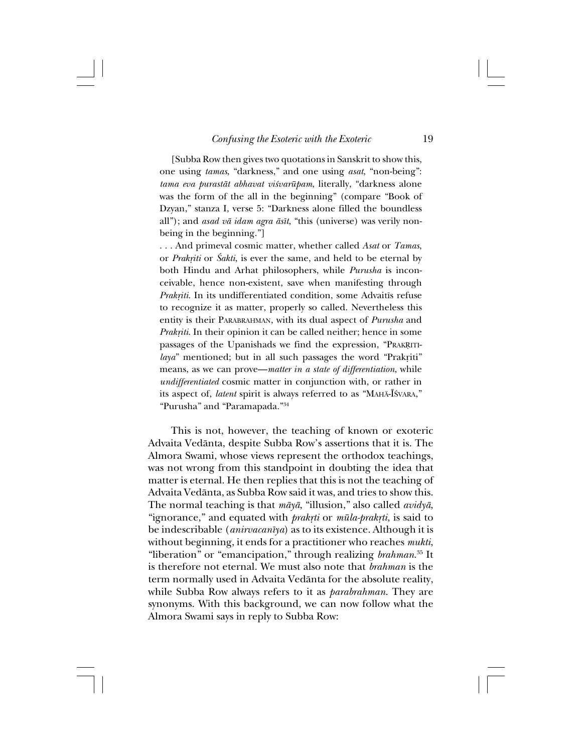[Subba Row then gives two quotations in Sanskrit to show this, one using *tamas*, "darkness," and one using *asat*, "non-being": *tama eva puraståt abhavat vi≈varüpam*, literally, "darkness alone was the form of the all in the beginning" (compare "Book of Dzyan," stanza I, verse 5: "Darkness alone filled the boundless all"); and *asad vå idam agra åsît*, "this (universe) was verily nonbeing in the beginning."]

. . . And primeval cosmic matter, whether called *Asat* or *Tamas*, or *Prakriti* or *Śakti*, is ever the same, and held to be eternal by both Hindu and Arhat philosophers, while *Purusha* is inconceivable, hence non-existent, save when manifesting through *Prak®iti*. In its undifferentiated condition, some Advaitîs refuse to recognize it as matter, properly so called. Nevertheless this entity is their PARABRAHMAN, with its dual aspect of *Purusha* and *Prakriti*. In their opinion it can be called neither; hence in some passages of the Upanishads we find the expression, "PRAKRITI*laya*" mentioned; but in all such passages the word "Prakriti" means, as we can prove—*matter in a state of differentiation*, while *undifferentiated* cosmic matter in conjunction with, or rather in its aspect of, *latent* spirit is always referred to as "MAHĀ-ĪŚVARA," "Purusha" and "Paramapada."34

This is not, however, the teaching of known or exoteric Advaita Vedånta, despite Subba Row's assertions that it is. The Almora Swami, whose views represent the orthodox teachings, was not wrong from this standpoint in doubting the idea that matter is eternal. He then replies that this is not the teaching of Advaita Vedånta, as Subba Row said it was, and tries to show this. The normal teaching is that *måyå*, "illusion," also called *avidyå*, "ignorance," and equated with *prakrti* or *mūla-prakrti*, is said to be indescribable (*anirvacanîya*) as to its existence. Although it is without beginning, it ends for a practitioner who reaches *mukti*, "liberation" or "emancipation," through realizing *brahman*. 35 It is therefore not eternal. We must also note that *brahman* is the term normally used in Advaita Vedånta for the absolute reality, while Subba Row always refers to it as *parabrahman*. They are synonyms. With this background, we can now follow what the Almora Swami says in reply to Subba Row: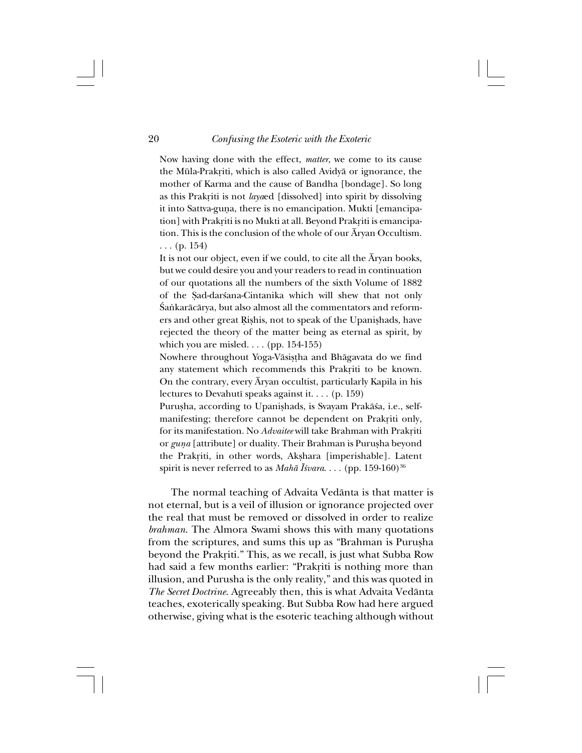Now having done with the effect, *matter*, we come to its cause the Mūla-Prakriti, which is also called Avidyā or ignorance, the mother of Karma and the cause of Bandha [bondage]. So long as this Prakriti is not *laya*ed [dissolved] into spirit by dissolving it into Sattva-guna, there is no emancipation. Mukti [emancipation] with Prakriti is no Mukti at all. Beyond Prakriti is emancipation. This is the conclusion of the whole of our  $\bar{A}$ ryan Occultism. . . . (p. 154)

It is not our object, even if we could, to cite all the Åryan books, but we could desire you and your readers to read in continuation of our quotations all the numbers of the sixth Volume of 1882 of the Sad-darsana-Cintanika which will shew that not only Śankarācārya, but also almost all the commentators and reformers and other great Rishis, not to speak of the Upanishads, have rejected the theory of the matter being as eternal as spirit, by which you are misled.  $\ldots$  (pp. 154-155)

Nowhere throughout Yoga-Vāsistha and Bhāgavata do we find any statement which recommends this Prakriti to be known. On the contrary, every Åryan occultist, particularly Kapila in his lectures to Devahutî speaks against it. . . . (p. 159)

Purusha, according to Upanishads, is Svayam Prakāśa, i.e., selfmanifesting; therefore cannot be dependent on Prakriti only, for its manifestation. No *Advaitee* will take Brahman with Prakriti or *guna* [attribute] or duality. Their Brahman is Purusha beyond the Prakriti, in other words, Akshara [imperishable]. Latent spirit is never referred to as *Mahā Īśvara*. . . . (pp. 159-160)<sup>36</sup>

The normal teaching of Advaita Vedånta is that matter is not eternal, but is a veil of illusion or ignorance projected over the real that must be removed or dissolved in order to realize *brahman*. The Almora Swami shows this with many quotations from the scriptures, and sums this up as "Brahman is Purusha" beyond the Prakriti." This, as we recall, is just what Subba Row had said a few months earlier: "Prakriti is nothing more than illusion, and Purusha is the only reality," and this was quoted in *The Secret Doctrine*. Agreeably then, this is what Advaita Vedånta teaches, exoterically speaking. But Subba Row had here argued otherwise, giving what is the esoteric teaching although without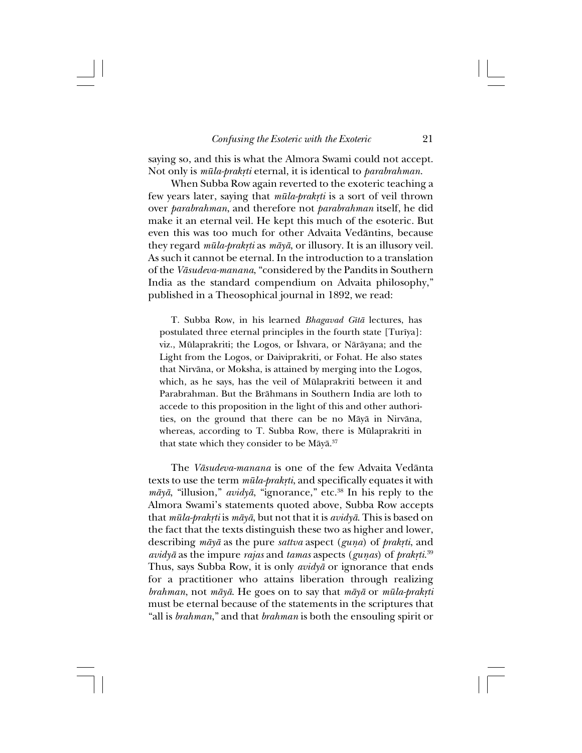saying so, and this is what the Almora Swami could not accept. Not only is  $m\bar{u}la-prak\tau i$  eternal, it is identical to *parabrahman*.

When Subba Row again reverted to the exoteric teaching a few years later, saying that *mūla-prakrti* is a sort of veil thrown over *parabrahman*, and therefore not *parabrahman* itself, he did make it an eternal veil. He kept this much of the esoteric. But even this was too much for other Advaita Vedåntins, because they regard *mūla-prakyti* as  $m\bar{a}y\bar{a}$ , or illusory. It is an illusory veil. As such it cannot be eternal. In the introduction to a translation of the *Våsudeva-manana*, "considered by the Pandits in Southern India as the standard compendium on Advaita philosophy," published in a Theosophical journal in 1892, we read:

T. Subba Row, in his learned *Bhagavad Gîtå* lectures, has postulated three eternal principles in the fourth state [Turîya]: viz., Mūlaprakriti; the Logos, or Īshvara, or Nārāyana; and the Light from the Logos, or Daiviprakriti, or Fohat. He also states that Nirvåna, or Moksha, is attained by merging into the Logos, which, as he says, has the veil of Mülaprakriti between it and Parabrahman. But the Bråhmans in Southern India are loth to accede to this proposition in the light of this and other authorities, on the ground that there can be no Måyå in Nirvåna, whereas, according to T. Subba Row, there is Mülaprakriti in that state which they consider to be Māyā.<sup>37</sup>

The *Våsudeva-manana* is one of the few Advaita Vedånta texts to use the term  $m\bar{u}la-prakrti$ , and specifically equates it with *måyå*, "illusion," *avidyå*, "ignorance," etc.38 In his reply to the Almora Swami's statements quoted above, Subba Row accepts that *müla-prak®ti* is *måyå*, but not that it is *avidyå*. This is based on the fact that the texts distinguish these two as higher and lower, describing *māyā* as the pure *sattva* aspect (*guna*) of *prakrti*, and *avidyā* as the impure *rajas* and *tamas* aspects (*gunas*) of *prakrti.*<sup>39</sup> Thus, says Subba Row, it is only *avidyå* or ignorance that ends for a practitioner who attains liberation through realizing *brahman*, not *māyā*. He goes on to say that *māyā* or *mūla-prakṛti* must be eternal because of the statements in the scriptures that "all is *brahman*," and that *brahman* is both the ensouling spirit or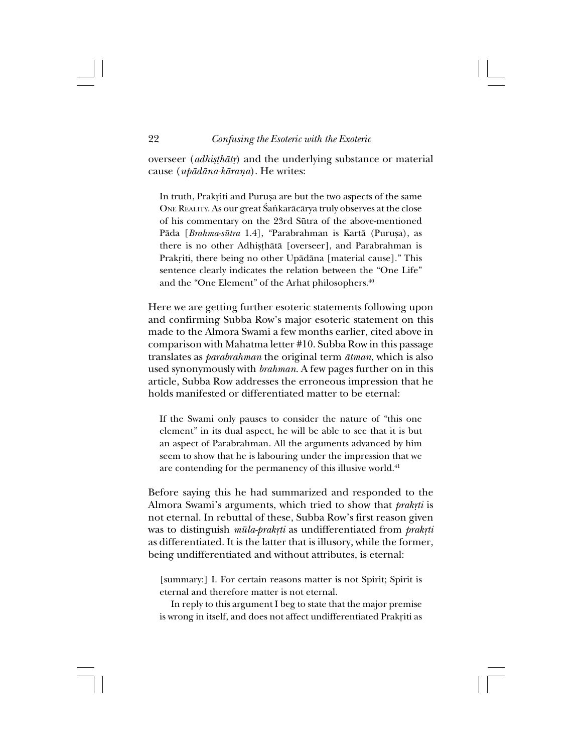overseer (*adhisthātr*) and the underlying substance or material cause (*upådåna-kåraña*). He writes:

In truth, Prakriti and Purușa are but the two aspects of the same ONE REALITY. As our great Śaṅkarācārya truly observes at the close of his commentary on the 23rd Sütra of the above-mentioned Pāda [*Brahma-sūtra* 1.4], "Parabrahman is Kartā (Purusa), as there is no other Adhisthātā [overseer], and Parabrahman is Prakriti, there being no other Upādāna [material cause]." This sentence clearly indicates the relation between the "One Life" and the "One Element" of the Arhat philosophers.<sup>40</sup>

Here we are getting further esoteric statements following upon and confirming Subba Row's major esoteric statement on this made to the Almora Swami a few months earlier, cited above in comparison with Mahatma letter #10. Subba Row in this passage translates as *parabrahman* the original term *åtman*, which is also used synonymously with *brahman*. A few pages further on in this article, Subba Row addresses the erroneous impression that he holds manifested or differentiated matter to be eternal:

If the Swami only pauses to consider the nature of "this one element" in its dual aspect, he will be able to see that it is but an aspect of Parabrahman. All the arguments advanced by him seem to show that he is labouring under the impression that we are contending for the permanency of this illusive world.<sup>41</sup>

Before saying this he had summarized and responded to the Almora Swami's arguments, which tried to show that *prakrti* is not eternal. In rebuttal of these, Subba Row's first reason given was to distinguish  $m\bar{u}la$ -prakrti as undifferentiated from prakrti as differentiated. It is the latter that is illusory, while the former, being undifferentiated and without attributes, is eternal:

[summary:] I. For certain reasons matter is not Spirit; Spirit is eternal and therefore matter is not eternal.

In reply to this argument I beg to state that the major premise is wrong in itself, and does not affect undifferentiated Prakriti as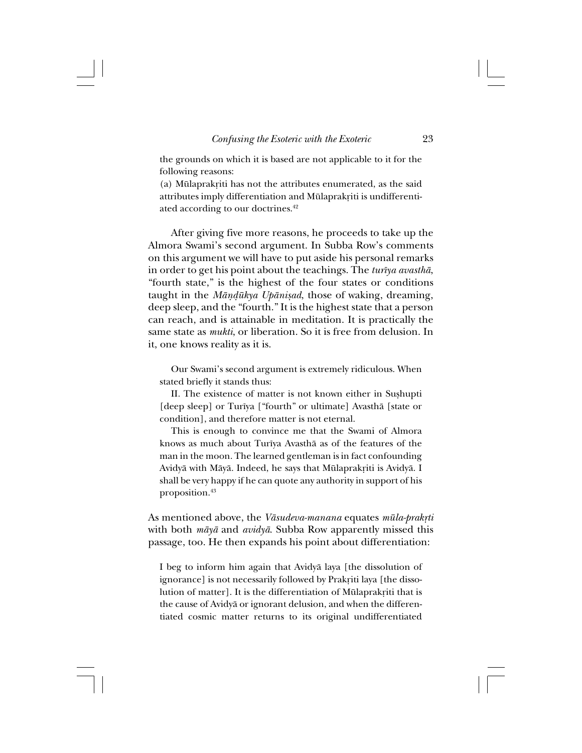the grounds on which it is based are not applicable to it for the following reasons:

(a) Mūlaprakriti has not the attributes enumerated, as the said attributes imply differentiation and Mūlaprakriti is undifferentiated according to our doctrines.<sup>42</sup>

After giving five more reasons, he proceeds to take up the Almora Swami's second argument. In Subba Row's comments on this argument we will have to put aside his personal remarks in order to get his point about the teachings. The *turîya avasthå*, "fourth state," is the highest of the four states or conditions taught in the *Māndūkya Upānisad*, those of waking, dreaming, deep sleep, and the "fourth." It is the highest state that a person can reach, and is attainable in meditation. It is practically the same state as *mukti*, or liberation. So it is free from delusion. In it, one knows reality as it is.

Our Swami's second argument is extremely ridiculous. When stated briefly it stands thus:

II. The existence of matter is not known either in Sushupti [deep sleep] or Turîya ["fourth" or ultimate] Avasthå [state or condition], and therefore matter is not eternal.

This is enough to convince me that the Swami of Almora knows as much about Turîya Avasthå as of the features of the man in the moon. The learned gentleman is in fact confounding Avidyā with Māyā. Indeed, he says that Mūlaprakriti is Avidyā. I shall be very happy if he can quote any authority in support of his proposition.43

As mentioned above, the *Vāsudeva-manana* equates *mūla-prakṛti* with both *måyå* and *avidyå*. Subba Row apparently missed this passage, too. He then expands his point about differentiation:

I beg to inform him again that Avidyå laya [the dissolution of ignorance] is not necessarily followed by Prakriti laya [the dissolution of matter]. It is the differentiation of Mūlaprakriti that is the cause of Avidyå or ignorant delusion, and when the differentiated cosmic matter returns to its original undifferentiated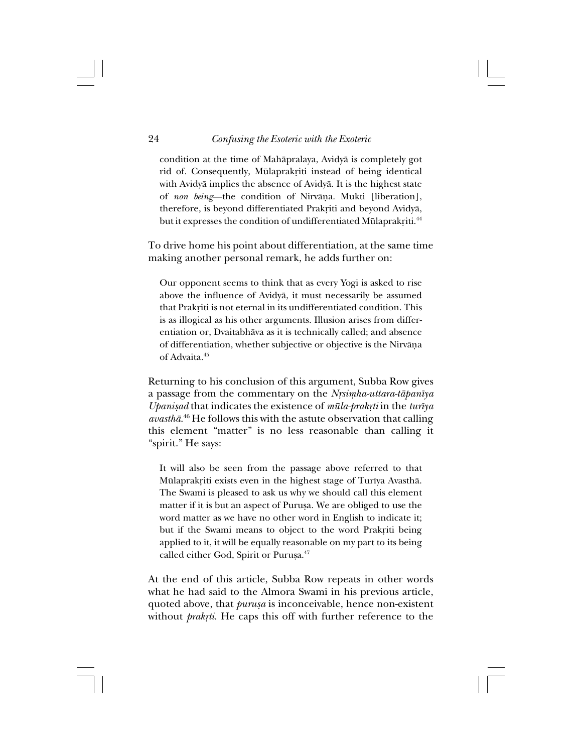## 24 *Confusing the Esoteric with the Exoteric*

condition at the time of Mahåpralaya, Avidyå is completely got rid of. Consequently, Mūlaprakriti instead of being identical with Avidyå implies the absence of Avidyå. It is the highest state of *non being*—the condition of Nirvāṇa. Mukti [liberation], therefore, is beyond differentiated Prakriti and beyond Avidyā, but it expresses the condition of undifferentiated Mūlaprakriti.<sup>44</sup>

To drive home his point about differentiation, at the same time making another personal remark, he adds further on:

Our opponent seems to think that as every Yogi is asked to rise above the influence of Avidyå, it must necessarily be assumed that Prakriti is not eternal in its undifferentiated condition. This is as illogical as his other arguments. Illusion arises from differentiation or, Dvaitabhåva as it is technically called; and absence of differentiation, whether subjective or objective is the Nirvāṇa of Advaita.45

Returning to his conclusion of this argument, Subba Row gives a passage from the commentary on the *Nrsimha-uttara-tāpanīya Upanißad* that indicates the existence of *müla-prak®ti* in the *turîya avasthå*. 46 He follows this with the astute observation that calling this element "matter" is no less reasonable than calling it "spirit." He says:

It will also be seen from the passage above referred to that Mūlaprakriti exists even in the highest stage of Turīya Avasthā. The Swami is pleased to ask us why we should call this element matter if it is but an aspect of Purusa. We are obliged to use the word matter as we have no other word in English to indicate it; but if the Swami means to object to the word Prakriti being applied to it, it will be equally reasonable on my part to its being called either God, Spirit or Purușa.<sup>47</sup>

At the end of this article, Subba Row repeats in other words what he had said to the Almora Swami in his previous article, quoted above, that *purusa* is inconceivable, hence non-existent without *prakrti*. He caps this off with further reference to the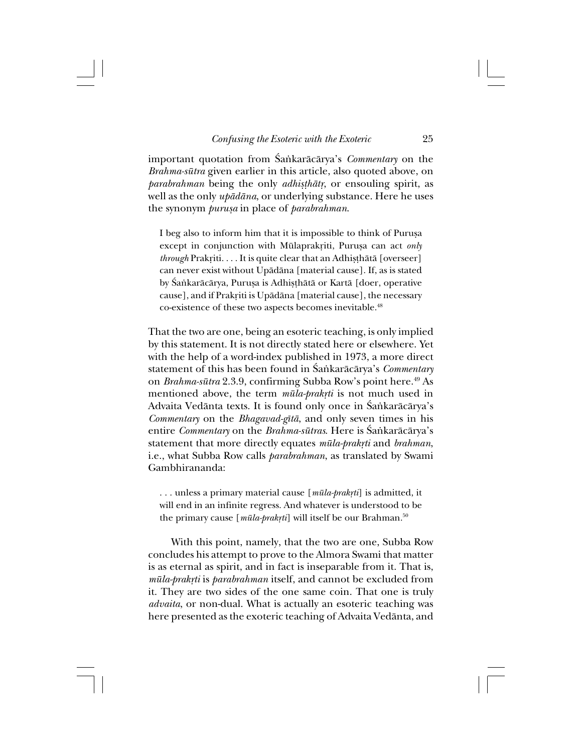important quotation from Śańkarācārya's *Commentary* on the *Brahma-sütra* given earlier in this article, also quoted above, on *parabrahman* being the only *adhisthatr*, or ensouling spirit, as well as the only *upådåna*, or underlying substance. Here he uses the synonym *purußa* in place of *parabrahman*.

I beg also to inform him that it is impossible to think of Puruşa except in conjunction with Mūlaprakriti, Purusa can act *only through* Prakriti. . . . It is quite clear that an Adhisthātā [overseer] can never exist without Upådåna [material cause]. If, as is stated by Śankarācārya, Puruṣa is Adhiṣṭhātā or Kartā [doer, operative cause], and if Prakriti is Upādāna [material cause], the necessary co-existence of these two aspects becomes inevitable.<sup>48</sup>

That the two are one, being an esoteric teaching, is only implied by this statement. It is not directly stated here or elsewhere. Yet with the help of a word-index published in 1973, a more direct statement of this has been found in Śaṅkarācārya's *Commentary* on *Brahma-sütra* 2.3.9, confirming Subba Row's point here.49 As mentioned above, the term  $m\bar{u}la$ -prakrti is not much used in Advaita Vedānta texts. It is found only once in Śańkarācārya's *Commentary* on the *Bhagavad-gîtå*, and only seven times in his entire *Commentary* on the *Brahma-sūtras*. Here is Śankarācārya's statement that more directly equates  $m\bar{u}$ *la-prakrti* and *brahman*, i.e., what Subba Row calls *parabrahman*, as translated by Swami Gambhirananda:

... unless a primary material cause [ $m\bar{u}la$ -prakrti] is admitted, it will end in an infinite regress. And whatever is understood to be the primary cause [ $m\bar{u}la$ -prakrti] will itself be our Brahman.<sup>50</sup>

With this point, namely, that the two are one, Subba Row concludes his attempt to prove to the Almora Swami that matter is as eternal as spirit, and in fact is inseparable from it. That is, *müla-prak®ti* is *parabrahman* itself, and cannot be excluded from it. They are two sides of the one same coin. That one is truly *advaita*, or non-dual. What is actually an esoteric teaching was here presented as the exoteric teaching of Advaita Vedånta, and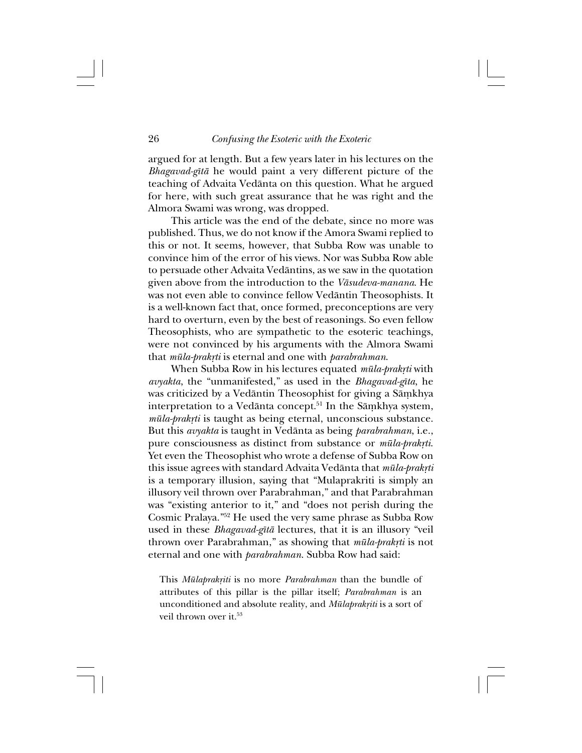argued for at length. But a few years later in his lectures on the *Bhagavad-gîtå* he would paint a very different picture of the teaching of Advaita Vedånta on this question. What he argued for here, with such great assurance that he was right and the Almora Swami was wrong, was dropped.

This article was the end of the debate, since no more was published. Thus, we do not know if the Amora Swami replied to this or not. It seems, however, that Subba Row was unable to convince him of the error of his views. Nor was Subba Row able to persuade other Advaita Vedåntins, as we saw in the quotation given above from the introduction to the *Våsudeva-manana*. He was not even able to convince fellow Vedåntin Theosophists. It is a well-known fact that, once formed, preconceptions are very hard to overturn, even by the best of reasonings. So even fellow Theosophists, who are sympathetic to the esoteric teachings, were not convinced by his arguments with the Almora Swami that *müla-prak®ti* is eternal and one with *parabrahman*.

When Subba Row in his lectures equated *mūla-prakrti* with *avyakta*, the "unmanifested," as used in the *Bhagavad-gîta*, he was criticized by a Vedāntin Theosophist for giving a Sāṃkhya interpretation to a Vedānta concept.<sup>51</sup> In the Sāmkhya system, *mūla-prakṛti* is taught as being eternal, unconscious substance. But this *avyakta* is taught in Vedånta as being *parabrahman*, i.e., pure consciousness as distinct from substance or  $m\bar{u}la-prak\tau i$ . Yet even the Theosophist who wrote a defense of Subba Row on this issue agrees with standard Advaita Vedānta that *mūla-prakrti* is a temporary illusion, saying that "Mulaprakriti is simply an illusory veil thrown over Parabrahman," and that Parabrahman was "existing anterior to it," and "does not perish during the Cosmic Pralaya."52 He used the very same phrase as Subba Row used in these *Bhagavad-gîtå* lectures, that it is an illusory "veil thrown over Parabrahman," as showing that  $m\bar{u}l$ a-prakrti is not eternal and one with *parabrahman*. Subba Row had said:

This *Mūlaprakriti* is no more *Parabrahman* than the bundle of attributes of this pillar is the pillar itself; *Parabrahman* is an unconditioned and absolute reality, and *Mūlaprakriti* is a sort of veil thrown over it.<sup>53</sup>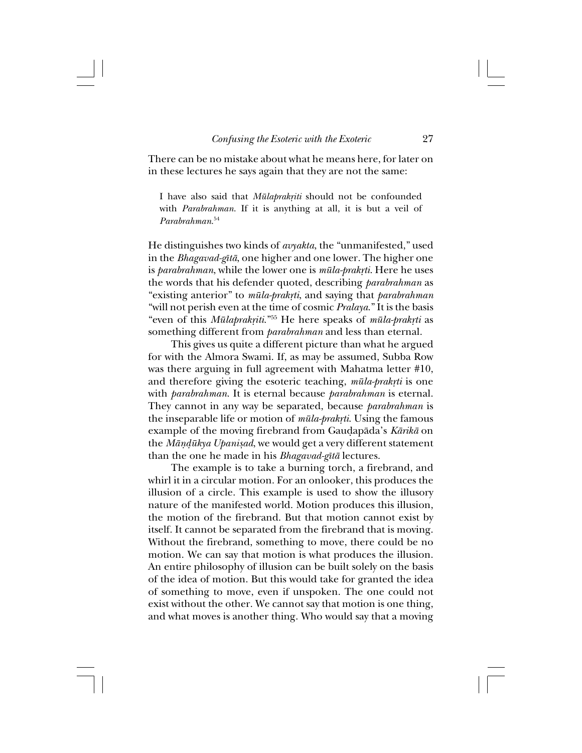There can be no mistake about what he means here, for later on in these lectures he says again that they are not the same:

I have also said that *Mūlaprakriti* should not be confounded with *Parabrahman*. If it is anything at all, it is but a veil of *Parabrahman*. 54

He distinguishes two kinds of *avyakta*, the "unmanifested," used in the *Bhagavad-gîtå*, one higher and one lower. The higher one is *parabrahman*, while the lower one is *mūla-prakṛti*. Here he uses the words that his defender quoted, describing *parabrahman* as "existing anterior" to *müla-prak®ti*, and saying that *parabrahman* "will not perish even at the time of cosmic *Pralaya*." It is the basis "even of this *Mūlaprakriti.*"<sup>55</sup> He here speaks of *mūla-prakrti* as something different from *parabrahman* and less than eternal.

This gives us quite a different picture than what he argued for with the Almora Swami. If, as may be assumed, Subba Row was there arguing in full agreement with Mahatma letter #10, and therefore giving the esoteric teaching,  $m\bar{u}l$ a-prakrti is one with *parabrahman*. It is eternal because *parabrahman* is eternal. They cannot in any way be separated, because *parabrahman* is the inseparable life or motion of  $m\bar{u}lq$ -prakrti. Using the famous example of the moving firebrand from Gau∂apåda's *Kårikå* on the *Māndūkya Upanisad*, we would get a very different statement than the one he made in his *Bhagavad-gîtå* lectures.

The example is to take a burning torch, a firebrand, and whirl it in a circular motion. For an onlooker, this produces the illusion of a circle. This example is used to show the illusory nature of the manifested world. Motion produces this illusion, the motion of the firebrand. But that motion cannot exist by itself. It cannot be separated from the firebrand that is moving. Without the firebrand, something to move, there could be no motion. We can say that motion is what produces the illusion. An entire philosophy of illusion can be built solely on the basis of the idea of motion. But this would take for granted the idea of something to move, even if unspoken. The one could not exist without the other. We cannot say that motion is one thing, and what moves is another thing. Who would say that a moving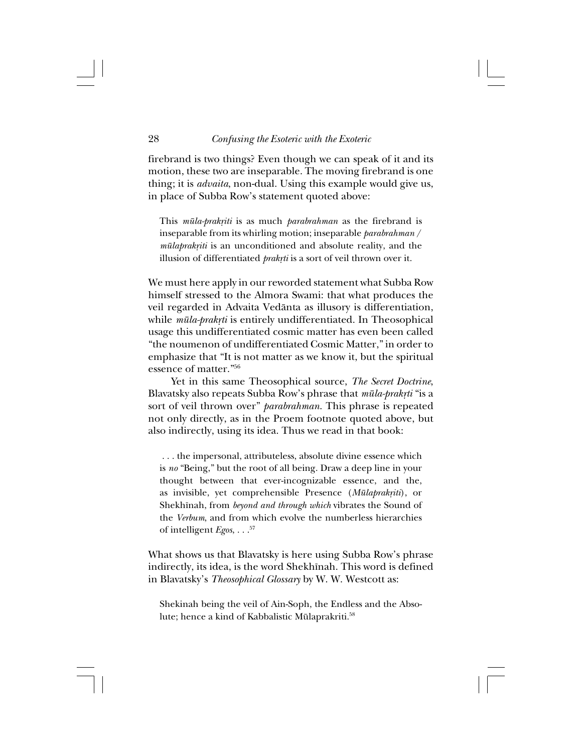firebrand is two things? Even though we can speak of it and its motion, these two are inseparable. The moving firebrand is one thing; it is *advaita*, non-dual. Using this example would give us, in place of Subba Row's statement quoted above:

This *mūla-prakriti* is as much *parabrahman* as the firebrand is inseparable from its whirling motion; inseparable *parabrahman* / *mūlaprakriti* is an unconditioned and absolute reality, and the illusion of differentiated *prakrti* is a sort of veil thrown over it.

We must here apply in our reworded statement what Subba Row himself stressed to the Almora Swami: that what produces the veil regarded in Advaita Vedånta as illusory is differentiation, while *mūla-prakrti* is entirely undifferentiated. In Theosophical usage this undifferentiated cosmic matter has even been called "the noumenon of undifferentiated Cosmic Matter," in order to emphasize that "It is not matter as we know it, but the spiritual essence of matter."56

Yet in this same Theosophical source, *The Secret Doctrine*, Blavatsky also repeats Subba Row's phrase that  $m\bar{u}l$ a-prakrti "is a sort of veil thrown over" *parabrahman*. This phrase is repeated not only directly, as in the Proem footnote quoted above, but also indirectly, using its idea. Thus we read in that book:

 . . . the impersonal, attributeless, absolute divine essence which is *no* "Being," but the root of all being. Draw a deep line in your thought between that ever-incognizable essence, and the, as invisible, yet comprehensible Presence (*Mūlaprakriti*), or Shekhînah, from *beyond and through which* vibrates the Sound of the *Verbum*, and from which evolve the numberless hierarchies of intelligent *Egos*, . . .57

What shows us that Blavatsky is here using Subba Row's phrase indirectly, its idea, is the word Shekhînah. This word is defined in Blavatsky's *Theosophical Glossary* by W. W. Westcott as:

Shekinah being the veil of Ain-Soph, the Endless and the Absolute; hence a kind of Kabbalistic Mülaprakriti.58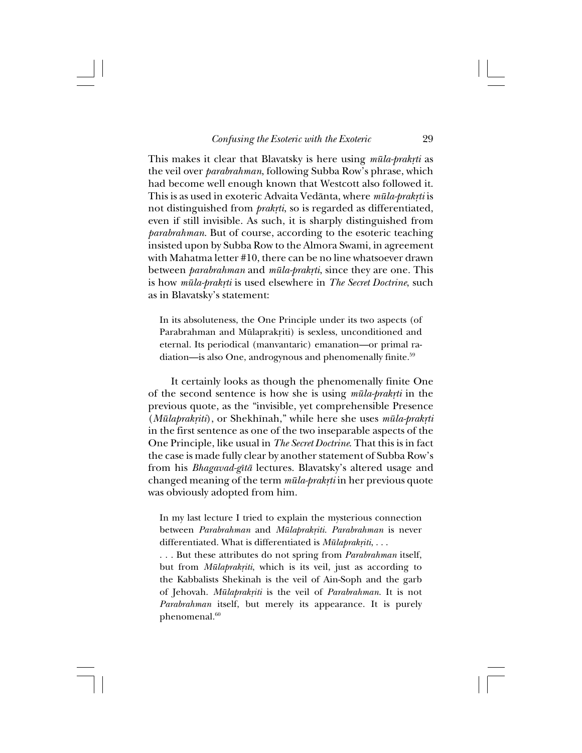This makes it clear that Blavatsky is here using *mūla-prakrti* as the veil over *parabrahman*, following Subba Row's phrase, which had become well enough known that Westcott also followed it. This is as used in exoteric Advaita Vedānta, where *mūla-prakṛti* is not distinguished from *prakrti*, so is regarded as differentiated, even if still invisible. As such, it is sharply distinguished from *parabrahman*. But of course, according to the esoteric teaching insisted upon by Subba Row to the Almora Swami, in agreement with Mahatma letter #10, there can be no line whatsoever drawn between *parabrahman* and *mūla-prakrti*, since they are one. This is how *mūla-prakrti* is used elsewhere in *The Secret Doctrine*, such as in Blavatsky's statement:

In its absoluteness, the One Principle under its two aspects (of Parabrahman and Mūlaprakriti) is sexless, unconditioned and eternal. Its periodical (manvantaric) emanation—or primal radiation—is also One, androgynous and phenomenally finite.<sup>59</sup>

It certainly looks as though the phenomenally finite One of the second sentence is how she is using  $m\bar{u}l$ a-prakrti in the previous quote, as the "invisible, yet comprehensible Presence (*Mūlaprakriti*), or Shekhīnah," while here she uses  $m\bar{u}l$ a-prakrti in the first sentence as one of the two inseparable aspects of the One Principle, like usual in *The Secret Doctrine*. That this is in fact the case is made fully clear by another statement of Subba Row's from his *Bhagavad-gîtå* lectures. Blavatsky's altered usage and changed meaning of the term  $m\bar{u}la-pr$ rak<sub>rti</sub> in her previous quote was obviously adopted from him.

In my last lecture I tried to explain the mysterious connection between *Parabrahman* and *Mülaprak®iti*. *Parabrahman* is never differentiated. What is differentiated is *Mūlaprakriti*, . . .

. . . But these attributes do not spring from *Parabrahman* itself, but from *Mūlaprakriti*, which is its veil, just as according to the Kabbalists Shekinah is the veil of Ain-Soph and the garb of Jehovah. *Mülaprak®iti* is the veil of *Parabrahman*. It is not *Parabrahman* itself, but merely its appearance. It is purely phenomenal.<sup>60</sup>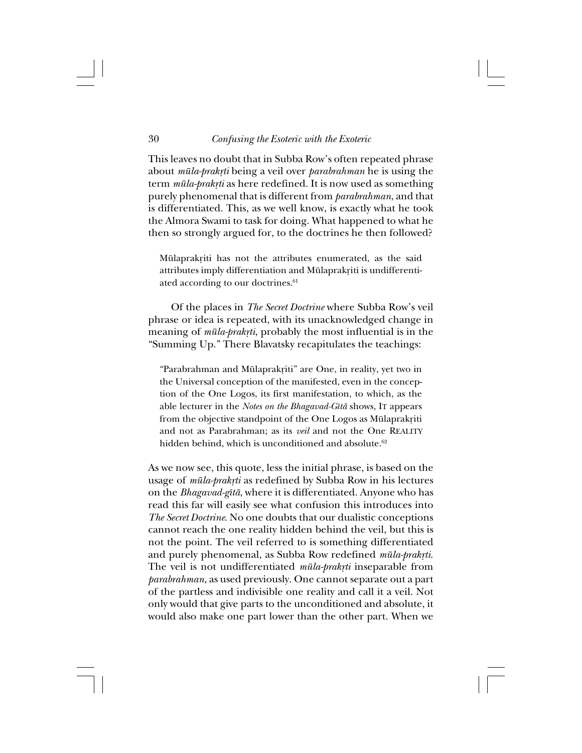#### 30 *Confusing the Esoteric with the Exoteric*

This leaves no doubt that in Subba Row's often repeated phrase about *mūla-prakṛti* being a veil over *parabrahman* he is using the term  $m\bar{u}la-prak\tau i$  as here redefined. It is now used as something purely phenomenal that is different from *parabrahman*, and that is differentiated. This, as we well know, is exactly what he took the Almora Swami to task for doing. What happened to what he then so strongly argued for, to the doctrines he then followed?

Mūlaprakriti has not the attributes enumerated, as the said attributes imply differentiation and Mūlaprakriti is undifferentiated according to our doctrines.<sup>61</sup>

Of the places in *The Secret Doctrine* where Subba Row's veil phrase or idea is repeated, with its unacknowledged change in meaning of  $m\bar{u}l$ a-prakrti, probably the most influential is in the "Summing Up." There Blavatsky recapitulates the teachings:

"Parabrahman and Mūlaprakriti" are One, in reality, yet two in the Universal conception of the manifested, even in the conception of the One Logos, its first manifestation, to which, as the able lecturer in the *Notes on the Bhagavad-Gîtå* shows, IT appears from the objective standpoint of the One Logos as Mūlaprakriti and not as Parabrahman; as its *veil* and not the One REALITY hidden behind, which is unconditioned and absolute.<sup>62</sup>

As we now see, this quote, less the initial phrase, is based on the usage of *mūla-prakrti* as redefined by Subba Row in his lectures on the *Bhagavad-gîtå*, where it is differentiated. Anyone who has read this far will easily see what confusion this introduces into *The Secret Doctrine*. No one doubts that our dualistic conceptions cannot reach the one reality hidden behind the veil, but this is not the point. The veil referred to is something differentiated and purely phenomenal, as Subba Row redefined *mūla-prakrti*. The veil is not undifferentiated *mūla-prakrti* inseparable from *parabrahman*, as used previously. One cannot separate out a part of the partless and indivisible one reality and call it a veil. Not only would that give parts to the unconditioned and absolute, it would also make one part lower than the other part. When we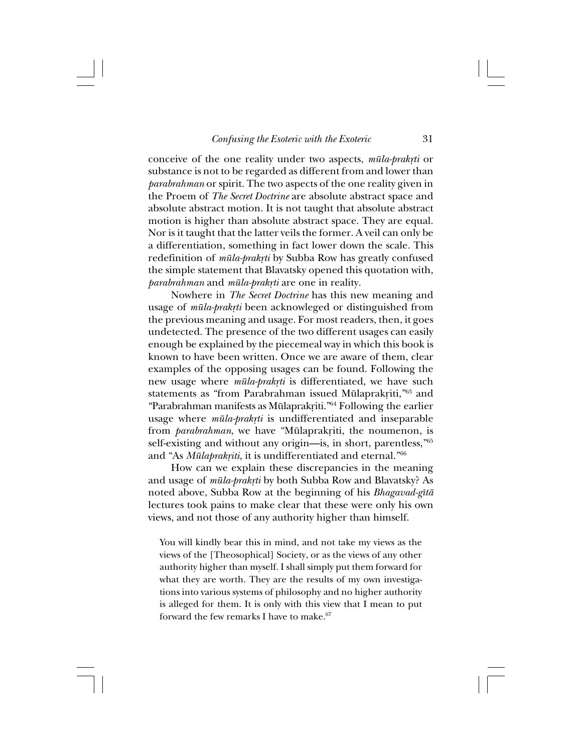conceive of the one reality under two aspects,  $m\bar{u}la-brakrti$  or substance is not to be regarded as different from and lower than *parabrahman* or spirit. The two aspects of the one reality given in the Proem of *The Secret Doctrine* are absolute abstract space and absolute abstract motion. It is not taught that absolute abstract motion is higher than absolute abstract space. They are equal. Nor is it taught that the latter veils the former. A veil can only be a differentiation, something in fact lower down the scale. This redefinition of *mūla-prakrti* by Subba Row has greatly confused the simple statement that Blavatsky opened this quotation with, *parabrahman* and *mūla-prakrti* are one in reality.

Nowhere in *The Secret Doctrine* has this new meaning and usage of *mūla-prakrti* been acknowleged or distinguished from the previous meaning and usage. For most readers, then, it goes undetected. The presence of the two different usages can easily enough be explained by the piecemeal way in which this book is known to have been written. Once we are aware of them, clear examples of the opposing usages can be found. Following the new usage where *mūla-prakrti* is differentiated, we have such statements as "from Parabrahman issued Mūlaprakriti,"<sup>63</sup> and "Parabrahman manifests as Mūlaprakriti."<sup>64</sup> Following the earlier usage where *mūla-prakrti* is undifferentiated and inseparable from *parabrahman*, we have "Mūlaprakriti, the noumenon, is self-existing and without any origin—is, in short, parentless,"65 and "As *Mūlaprakņiti*, it is undifferentiated and eternal."<sup>66</sup>

How can we explain these discrepancies in the meaning and usage of *mūla-prakrti* by both Subba Row and Blavatsky? As noted above, Subba Row at the beginning of his *Bhagavad-gîtå* lectures took pains to make clear that these were only his own views, and not those of any authority higher than himself.

You will kindly bear this in mind, and not take my views as the views of the [Theosophical] Society, or as the views of any other authority higher than myself. I shall simply put them forward for what they are worth. They are the results of my own investigations into various systems of philosophy and no higher authority is alleged for them. It is only with this view that I mean to put forward the few remarks I have to make. $67$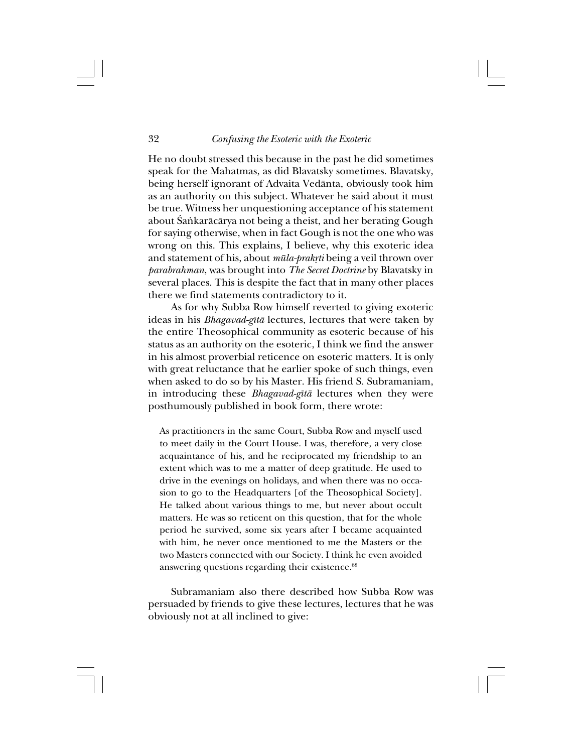He no doubt stressed this because in the past he did sometimes speak for the Mahatmas, as did Blavatsky sometimes. Blavatsky, being herself ignorant of Advaita Vedånta, obviously took him as an authority on this subject. Whatever he said about it must be true. Witness her unquestioning acceptance of his statement about Śaṅkarācārya not being a theist, and her berating Gough for saying otherwise, when in fact Gough is not the one who was wrong on this. This explains, I believe, why this exoteric idea and statement of his, about *mūla-prakrti* being a veil thrown over *parabrahman*, was brought into *The Secret Doctrine* by Blavatsky in several places. This is despite the fact that in many other places there we find statements contradictory to it.

As for why Subba Row himself reverted to giving exoteric ideas in his *Bhagavad-gîtå* lectures, lectures that were taken by the entire Theosophical community as esoteric because of his status as an authority on the esoteric, I think we find the answer in his almost proverbial reticence on esoteric matters. It is only with great reluctance that he earlier spoke of such things, even when asked to do so by his Master. His friend S. Subramaniam, in introducing these *Bhagavad-gîtå* lectures when they were posthumously published in book form, there wrote:

As practitioners in the same Court, Subba Row and myself used to meet daily in the Court House. I was, therefore, a very close acquaintance of his, and he reciprocated my friendship to an extent which was to me a matter of deep gratitude. He used to drive in the evenings on holidays, and when there was no occasion to go to the Headquarters [of the Theosophical Society]. He talked about various things to me, but never about occult matters. He was so reticent on this question, that for the whole period he survived, some six years after I became acquainted with him, he never once mentioned to me the Masters or the two Masters connected with our Society. I think he even avoided answering questions regarding their existence.<sup>68</sup>

Subramaniam also there described how Subba Row was persuaded by friends to give these lectures, lectures that he was obviously not at all inclined to give: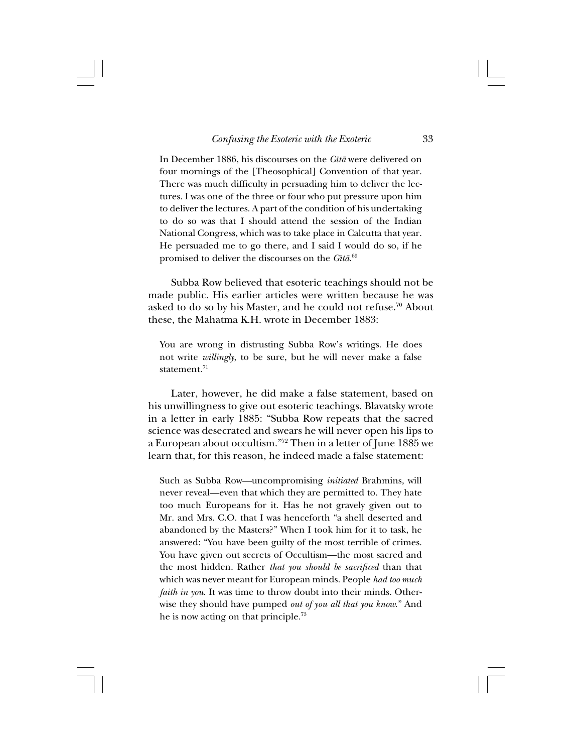In December 1886, his discourses on the *Gîtå* were delivered on four mornings of the [Theosophical] Convention of that year. There was much difficulty in persuading him to deliver the lectures. I was one of the three or four who put pressure upon him to deliver the lectures. A part of the condition of his undertaking to do so was that I should attend the session of the Indian National Congress, which was to take place in Calcutta that year. He persuaded me to go there, and I said I would do so, if he promised to deliver the discourses on the *Gîtå*. 69

Subba Row believed that esoteric teachings should not be made public. His earlier articles were written because he was asked to do so by his Master, and he could not refuse.70 About these, the Mahatma K.H. wrote in December 1883:

You are wrong in distrusting Subba Row's writings. He does not write *willingly*, to be sure, but he will never make a false statement.71

Later, however, he did make a false statement, based on his unwillingness to give out esoteric teachings. Blavatsky wrote in a letter in early 1885: "Subba Row repeats that the sacred science was desecrated and swears he will never open his lips to a European about occultism."72 Then in a letter of June 1885 we learn that, for this reason, he indeed made a false statement:

Such as Subba Row—uncompromising *initiated* Brahmins, will never reveal—even that which they are permitted to. They hate too much Europeans for it. Has he not gravely given out to Mr. and Mrs. C.O. that I was henceforth "a shell deserted and abandoned by the Masters?" When I took him for it to task, he answered: "You have been guilty of the most terrible of crimes. You have given out secrets of Occultism—the most sacred and the most hidden. Rather *that you should be sacrificed* than that which was never meant for European minds. People *had too much faith in you*. It was time to throw doubt into their minds. Otherwise they should have pumped *out of you all that you know*." And he is now acting on that principle.73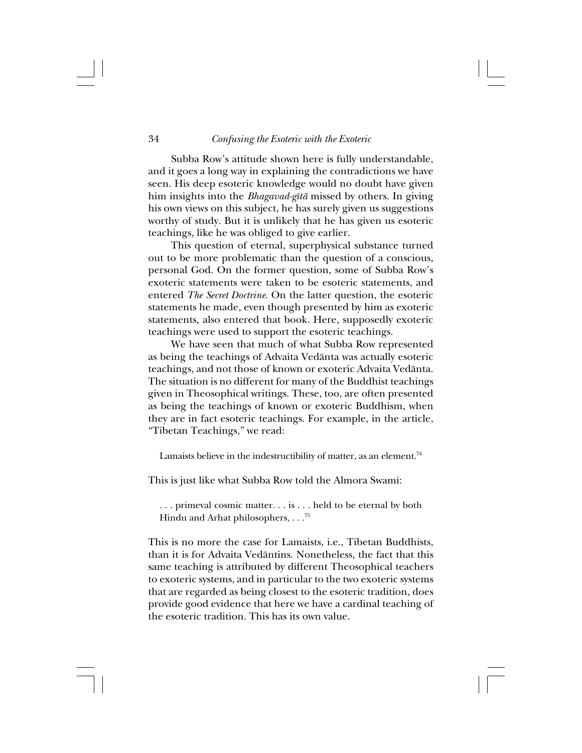#### 34 *Confusing the Esoteric with the Exoteric*

Subba Row's attitude shown here is fully understandable, and it goes a long way in explaining the contradictions we have seen. His deep esoteric knowledge would no doubt have given him insights into the *Bhagavad-gîtå* missed by others. In giving his own views on this subject, he has surely given us suggestions worthy of study. But it is unlikely that he has given us esoteric teachings, like he was obliged to give earlier.

This question of eternal, superphysical substance turned out to be more problematic than the question of a conscious, personal God. On the former question, some of Subba Row's exoteric statements were taken to be esoteric statements, and entered *The Secret Doctrine*. On the latter question, the esoteric statements he made, even though presented by him as exoteric statements, also entered that book. Here, supposedly exoteric teachings were used to support the esoteric teachings.

We have seen that much of what Subba Row represented as being the teachings of Advaita Vedånta was actually esoteric teachings, and not those of known or exoteric Advaita Vedånta. The situation is no different for many of the Buddhist teachings given in Theosophical writings. These, too, are often presented as being the teachings of known or exoteric Buddhism, when they are in fact esoteric teachings. For example, in the article, "Tibetan Teachings," we read:

Lamaists believe in the indestructibility of matter, as an element.<sup>74</sup>

This is just like what Subba Row told the Almora Swami:

. . . primeval cosmic matter. . . is . . . held to be eternal by both Hindu and Arhat philosophers, . . .75

This is no more the case for Lamaists, i.e., Tibetan Buddhists, than it is for Advaita Vedåntins. Nonetheless, the fact that this same teaching is attributed by different Theosophical teachers to exoteric systems, and in particular to the two exoteric systems that are regarded as being closest to the esoteric tradition, does provide good evidence that here we have a cardinal teaching of the esoteric tradition. This has its own value.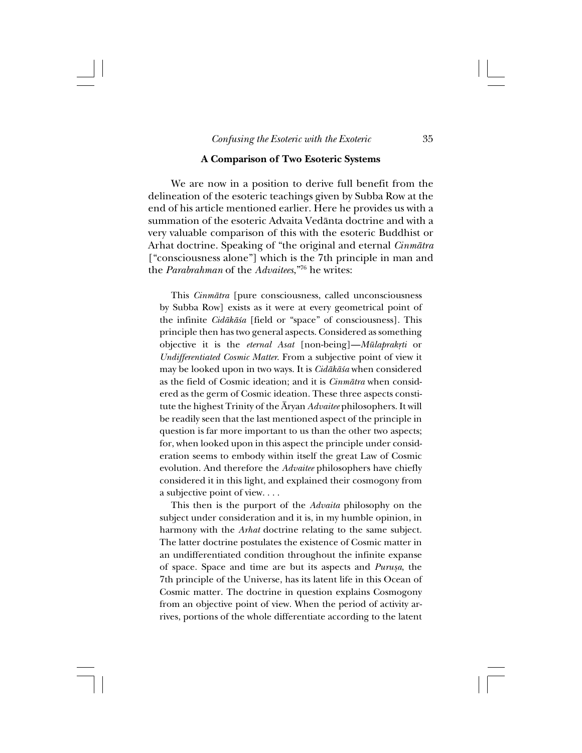## **A Comparison of Two Esoteric Systems**

We are now in a position to derive full benefit from the delineation of the esoteric teachings given by Subba Row at the end of his article mentioned earlier. Here he provides us with a summation of the esoteric Advaita Vedånta doctrine and with a very valuable comparison of this with the esoteric Buddhist or Arhat doctrine. Speaking of "the original and eternal *Cinmåtra* ["consciousness alone"] which is the 7th principle in man and the *Parabrahman* of the *Advaitees*,"76 he writes:

This *Cinmåtra* [pure consciousness, called unconsciousness by Subba Row] exists as it were at every geometrical point of the infinite *Cidåkå≈a* [field or "space" of consciousness]. This principle then has two general aspects. Considered as something objective it is the *eternal Asat* [non-being]—*Mūlaprakrti* or *Undifferentiated Cosmic Matter*. From a subjective point of view it may be looked upon in two ways. It is *Cidåkå≈a* when considered as the field of Cosmic ideation; and it is *Cinmåtra* when considered as the germ of Cosmic ideation. These three aspects constitute the highest Trinity of the Åryan *Advaitee* philosophers. It will be readily seen that the last mentioned aspect of the principle in question is far more important to us than the other two aspects; for, when looked upon in this aspect the principle under consideration seems to embody within itself the great Law of Cosmic evolution. And therefore the *Advaitee* philosophers have chiefly considered it in this light, and explained their cosmogony from a subjective point of view. . . .

This then is the purport of the *Advaita* philosophy on the subject under consideration and it is, in my humble opinion, in harmony with the *Arhat* doctrine relating to the same subject. The latter doctrine postulates the existence of Cosmic matter in an undifferentiated condition throughout the infinite expanse of space. Space and time are but its aspects and *Purußa*, the 7th principle of the Universe, has its latent life in this Ocean of Cosmic matter. The doctrine in question explains Cosmogony from an objective point of view. When the period of activity arrives, portions of the whole differentiate according to the latent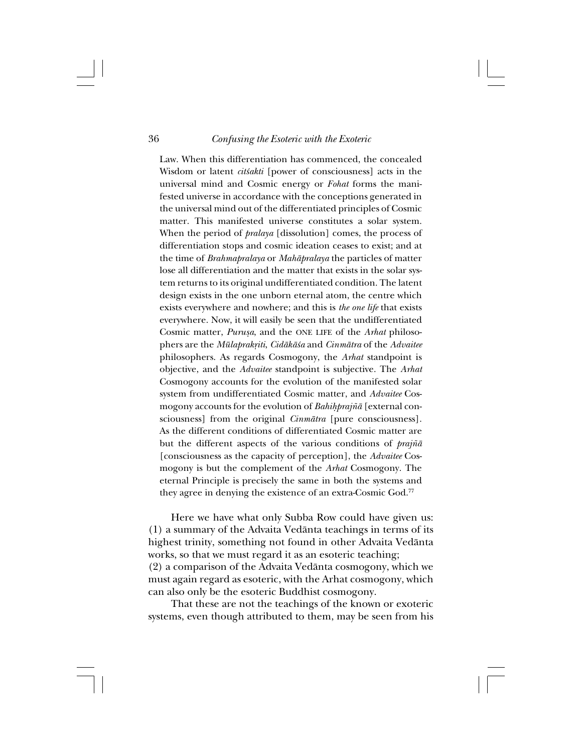Law. When this differentiation has commenced, the concealed Wisdom or latent *cit≈akti* [power of consciousness] acts in the universal mind and Cosmic energy or *Fohat* forms the manifested universe in accordance with the conceptions generated in the universal mind out of the differentiated principles of Cosmic matter. This manifested universe constitutes a solar system. When the period of *pralaya* [dissolution] comes, the process of differentiation stops and cosmic ideation ceases to exist; and at the time of *Brahmapralaya* or *Mahåpralaya* the particles of matter lose all differentiation and the matter that exists in the solar system returns to its original undifferentiated condition. The latent design exists in the one unborn eternal atom, the centre which exists everywhere and nowhere; and this is *the one life* that exists everywhere. Now, it will easily be seen that the undifferentiated Cosmic matter, *Purußa*, and the ONE LIFE of the *Arhat* philosophers are the *Mülaprak®iti*, *Cidåkå≈a* and *Cinmåtra* of the *Advaitee* philosophers. As regards Cosmogony, the *Arhat* standpoint is objective, and the *Advaitee* standpoint is subjective. The *Arhat* Cosmogony accounts for the evolution of the manifested solar system from undifferentiated Cosmic matter, and *Advaitee* Cosmogony accounts for the evolution of *Bahihprajñā* [external consciousness] from the original *Cinmåtra* [pure consciousness]. As the different conditions of differentiated Cosmic matter are but the different aspects of the various conditions of *prajña* [consciousness as the capacity of perception], the *Advaitee* Cosmogony is but the complement of the *Arhat* Cosmogony. The eternal Principle is precisely the same in both the systems and they agree in denying the existence of an extra-Cosmic God.<sup>77</sup>

Here we have what only Subba Row could have given us: (1) a summary of the Advaita Vedånta teachings in terms of its highest trinity, something not found in other Advaita Vedånta works, so that we must regard it as an esoteric teaching; (2) a comparison of the Advaita Vedånta cosmogony, which we must again regard as esoteric, with the Arhat cosmogony, which can also only be the esoteric Buddhist cosmogony.

That these are not the teachings of the known or exoteric systems, even though attributed to them, may be seen from his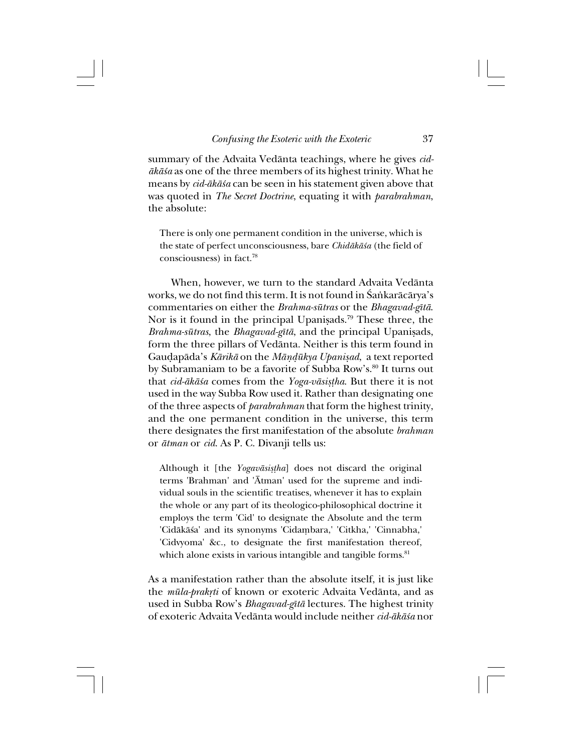summary of the Advaita Vedånta teachings, where he gives *cidåkå≈a* as one of the three members of its highest trinity. What he means by *cid-åkå≈a* can be seen in his statement given above that was quoted in *The Secret Doctrine*, equating it with *parabrahman*, the absolute:

There is only one permanent condition in the universe, which is the state of perfect unconsciousness, bare *Chidåkå≈a* (the field of consciousness) in fact.78

When, however, we turn to the standard Advaita Vedånta works, we do not find this term. It is not found in Śankarācārya's commentaries on either the *Brahma-sütras* or the *Bhagavad-gîtå*. Nor is it found in the principal Upanisads.<sup>79</sup> These three, the *Brahma-sūtras*, the *Bhagavad-gītā*, and the principal Upanisads, form the three pillars of Vedånta. Neither is this term found in Gau∂apåda's *Kårikå* on the *Måñ∂ükya Upanißad*, a text reported by Subramaniam to be a favorite of Subba Row's.<sup>80</sup> It turns out that *cid-åkå≈a* comes from the *Yoga-våsi߆ha*. But there it is not used in the way Subba Row used it. Rather than designating one of the three aspects of *parabrahman* that form the highest trinity, and the one permanent condition in the universe, this term there designates the first manifestation of the absolute *brahman* or *åtman* or *cid*. As P. C. Divanji tells us:

Although it [the *Yogavāsiṣṭha*] does not discard the original terms 'Brahman' and 'Åtman' used for the supreme and individual souls in the scientific treatises, whenever it has to explain the whole or any part of its theologico-philosophical doctrine it employs the term 'Cid' to designate the Absolute and the term 'Cidåkå≈a' and its synonyms 'Cidaµbara,' 'Citkha,' 'Cinnabha,' 'Cidvyoma' &c., to designate the first manifestation thereof, which alone exists in various intangible and tangible forms.<sup>81</sup>

As a manifestation rather than the absolute itself, it is just like the *mūla-prakrti* of known or exoteric Advaita Vedānta, and as used in Subba Row's *Bhagavad-gîtå* lectures. The highest trinity of exoteric Advaita Vedånta would include neither *cid-åkå≈a* nor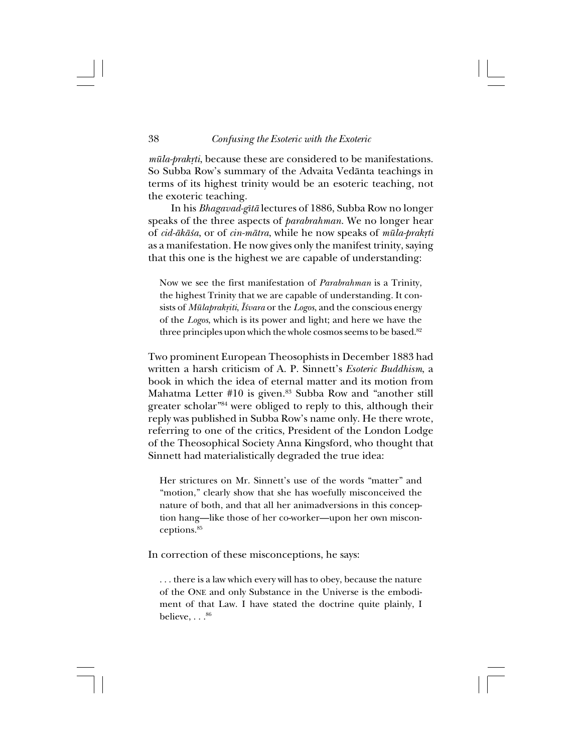*mūla-prakrti*, because these are considered to be manifestations. So Subba Row's summary of the Advaita Vedånta teachings in terms of its highest trinity would be an esoteric teaching, not the exoteric teaching.

In his *Bhagavad-gîtå* lectures of 1886, Subba Row no longer speaks of the three aspects of *parabrahman*. We no longer hear of *cid-åkå≈a*, or of *cin-måtra*, while he now speaks of *müla-prak®ti* as a manifestation. He now gives only the manifest trinity, saying that this one is the highest we are capable of understanding:

Now we see the first manifestation of *Parabrahman* is a Trinity, the highest Trinity that we are capable of understanding. It consists of *Mūlaprakṛiti*, *Īśvara* or the *Logos*, and the conscious energy of the *Logos*, which is its power and light; and here we have the three principles upon which the whole cosmos seems to be based.<sup>82</sup>

Two prominent European Theosophists in December 1883 had written a harsh criticism of A. P. Sinnett's *Esoteric Buddhism*, a book in which the idea of eternal matter and its motion from Mahatma Letter #10 is given.<sup>83</sup> Subba Row and "another still greater scholar"84 were obliged to reply to this, although their reply was published in Subba Row's name only. He there wrote, referring to one of the critics, President of the London Lodge of the Theosophical Society Anna Kingsford, who thought that Sinnett had materialistically degraded the true idea:

Her strictures on Mr. Sinnett's use of the words "matter" and "motion," clearly show that she has woefully misconceived the nature of both, and that all her animadversions in this conception hang—like those of her co-worker—upon her own misconceptions.85

In correction of these misconceptions, he says:

. . . there is a law which every will has to obey, because the nature of the ONE and only Substance in the Universe is the embodiment of that Law. I have stated the doctrine quite plainly, I believe,  $\dots^{86}$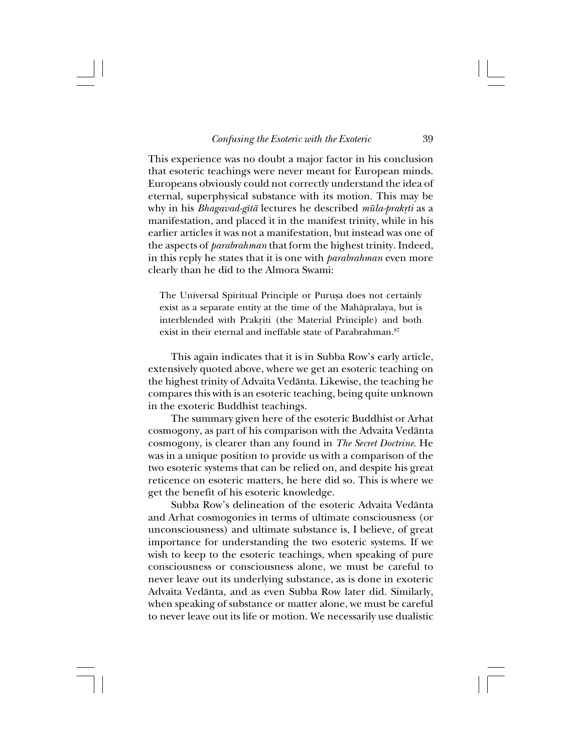This experience was no doubt a major factor in his conclusion that esoteric teachings were never meant for European minds. Europeans obviously could not correctly understand the idea of eternal, superphysical substance with its motion. This may be why in his *Bhagavad-gītā* lectures he described *mūla-prakṛti* as a manifestation, and placed it in the manifest trinity, while in his earlier articles it was not a manifestation, but instead was one of the aspects of *parabrahman* that form the highest trinity. Indeed, in this reply he states that it is one with *parabrahman* even more clearly than he did to the Almora Swami:

The Universal Spiritual Principle or Purușa does not certainly exist as a separate entity at the time of the Mahåpralaya, but is interblended with Prakriti (the Material Principle) and both exist in their eternal and ineffable state of Parabrahman.<sup>87</sup>

This again indicates that it is in Subba Row's early article, extensively quoted above, where we get an esoteric teaching on the highest trinity of Advaita Vedånta. Likewise, the teaching he compares this with is an esoteric teaching, being quite unknown in the exoteric Buddhist teachings.

The summary given here of the esoteric Buddhist or Arhat cosmogony, as part of his comparison with the Advaita Vedånta cosmogony, is clearer than any found in *The Secret Doctrine*. He was in a unique position to provide us with a comparison of the two esoteric systems that can be relied on, and despite his great reticence on esoteric matters, he here did so. This is where we get the benefit of his esoteric knowledge.

Subba Row's delineation of the esoteric Advaita Vedånta and Arhat cosmogonies in terms of ultimate consciousness (or unconsciousness) and ultimate substance is, I believe, of great importance for understanding the two esoteric systems. If we wish to keep to the esoteric teachings, when speaking of pure consciousness or consciousness alone, we must be careful to never leave out its underlying substance, as is done in exoteric Advaita Vedånta, and as even Subba Row later did. Similarly, when speaking of substance or matter alone, we must be careful to never leave out its life or motion. We necessarily use dualistic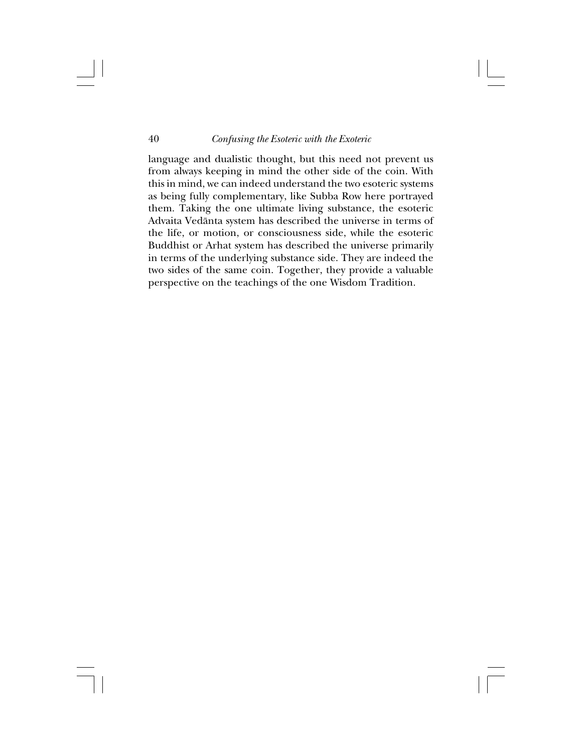language and dualistic thought, but this need not prevent us from always keeping in mind the other side of the coin. With this in mind, we can indeed understand the two esoteric systems as being fully complementary, like Subba Row here portrayed them. Taking the one ultimate living substance, the esoteric Advaita Vedånta system has described the universe in terms of the life, or motion, or consciousness side, while the esoteric Buddhist or Arhat system has described the universe primarily in terms of the underlying substance side. They are indeed the two sides of the same coin. Together, they provide a valuable perspective on the teachings of the one Wisdom Tradition.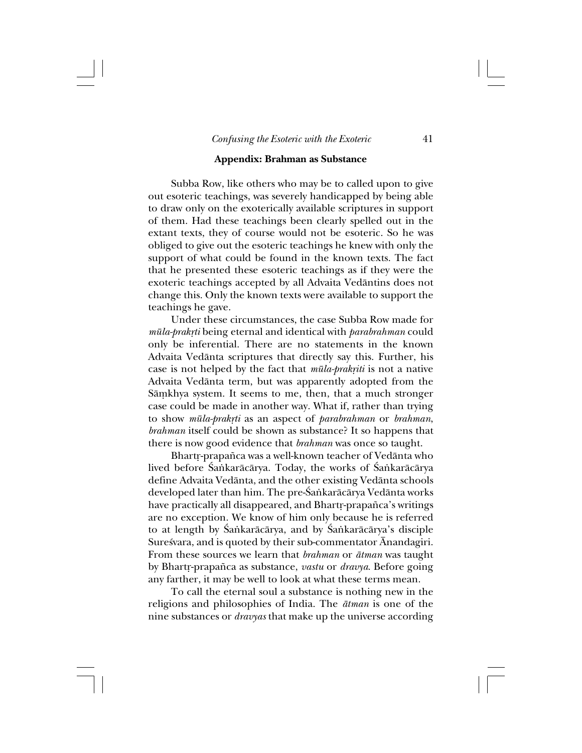# **Appendix: Brahman as Substance**

Subba Row, like others who may be to called upon to give out esoteric teachings, was severely handicapped by being able to draw only on the exoterically available scriptures in support of them. Had these teachings been clearly spelled out in the extant texts, they of course would not be esoteric. So he was obliged to give out the esoteric teachings he knew with only the support of what could be found in the known texts. The fact that he presented these esoteric teachings as if they were the exoteric teachings accepted by all Advaita Vedåntins does not change this. Only the known texts were available to support the teachings he gave.

Under these circumstances, the case Subba Row made for *müla-prak®ti* being eternal and identical with *parabrahman* could only be inferential. There are no statements in the known Advaita Vedånta scriptures that directly say this. Further, his case is not helped by the fact that  $m\bar{u}la-prakriti$  is not a native Advaita Vedånta term, but was apparently adopted from the Sāmkhya system. It seems to me, then, that a much stronger case could be made in another way. What if, rather than trying to show *mūla-prakrti* as an aspect of *parabrahman* or *brahman*, *brahman* itself could be shown as substance? It so happens that there is now good evidence that *brahman* was once so taught.

Bhartr-prapañca was a well-known teacher of Vedānta who lived before Śańkarācārya. Today, the works of Śańkarācārya define Advaita Vedånta, and the other existing Vedånta schools developed later than him. The pre-Śaṅkarācārya Vedānta works have practically all disappeared, and Bhartr-prapañca's writings are no exception. We know of him only because he is referred to at length by Śaṅkarācārya, and by Śaṅkarācārya's disciple Suresvara, and is quoted by their sub-commentator Ānandagiri. From these sources we learn that *brahman* or *åtman* was taught by Bhartr-prapañca as substance, *vastu* or *dravya*. Before going any farther, it may be well to look at what these terms mean.

To call the eternal soul a substance is nothing new in the religions and philosophies of India. The *åtman* is one of the nine substances or *dravyas* that make up the universe according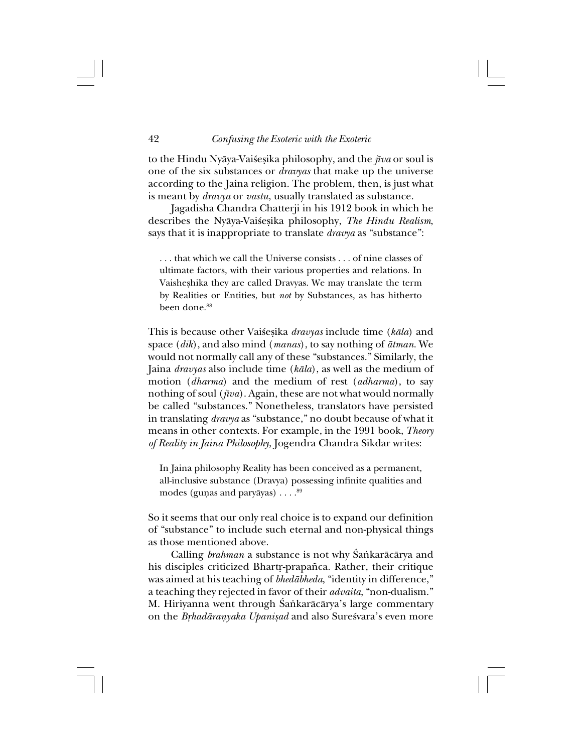to the Hindu Nyāya-Vaiśesika philosophy, and the *jīva* or soul is one of the six substances or *dravyas* that make up the universe according to the Jaina religion. The problem, then, is just what is meant by *dravya* or *vastu*, usually translated as substance.

Jagadisha Chandra Chatterji in his 1912 book in which he describes the Nyāya-Vaiśesika philosophy, *The Hindu Realism*, says that it is inappropriate to translate *dravya* as "substance":

. . . that which we call the Universe consists . . . of nine classes of ultimate factors, with their various properties and relations. In Vaisheßhika they are called Dravyas. We may translate the term by Realities or Entities, but *not* by Substances, as has hitherto been done.<sup>88</sup>

This is because other Vai≈eßika *dravyas* include time (*kåla*) and space (*dik*), and also mind (*manas*), to say nothing of *åtman*. We would not normally call any of these "substances." Similarly, the Jaina *dravyas* also include time (*kåla*), as well as the medium of motion (*dharma*) and the medium of rest (*adharma*), to say nothing of soul (*jîva*). Again, these are not what would normally be called "substances." Nonetheless, translators have persisted in translating *dravya* as "substance," no doubt because of what it means in other contexts. For example, in the 1991 book, *Theory of Reality in Jaina Philosophy*, Jogendra Chandra Sikdar writes:

In Jaina philosophy Reality has been conceived as a permanent, all-inclusive substance (Dravya) possessing infinite qualities and modes (gunas and paryāyas)  $\ldots$ .  $89$ 

So it seems that our only real choice is to expand our definition of "substance" to include such eternal and non-physical things as those mentioned above.

Calling *brahman* a substance is not why Śankarācārya and his disciples criticized Bhartr-prapañca. Rather, their critique was aimed at his teaching of *bhedåbheda*, "identity in difference," a teaching they rejected in favor of their *advaita*, "non-dualism." M. Hiriyanna went through Śaṅkarācārya's large commentary on the *Brhadāranyaka Upaniṣad* and also Sureśvara's even more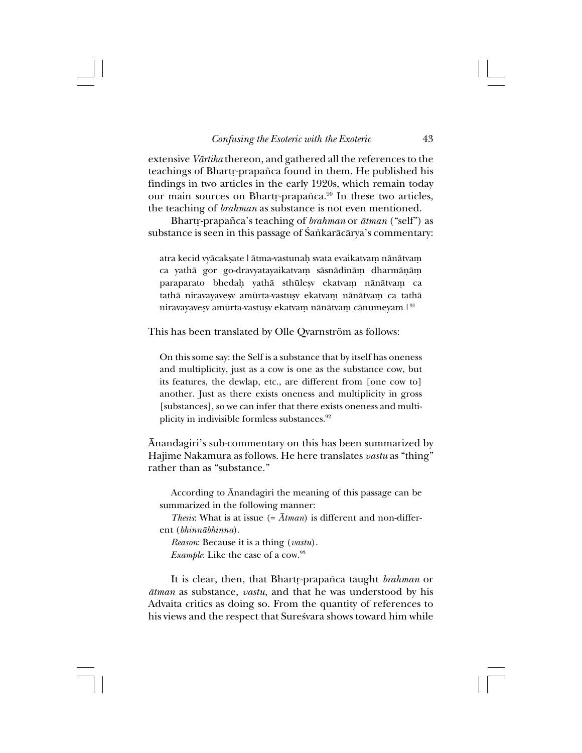extensive *Vårtika* thereon, and gathered all the references to the teachings of Bhartr-prapañca found in them. He published his findings in two articles in the early 1920s, which remain today our main sources on Bhartr-prapañca.<sup>90</sup> In these two articles, the teaching of *brahman* as substance is not even mentioned.

Bhart®-prapa∆ca's teaching of *brahman* or *åtman* ("self") as substance is seen in this passage of Śańkarācārya's commentary:

atra kecid vyācaksate | ātma-vastunah svata evaikatvam nānātvam ca yathā gor go-dravyatayaikatvam sāsnādīnām dharmāņām paraparato bhedah yathā sthūlesy ekatvam nānātvam ca tathā niravayavesv amūrta-vastusv ekatvam nānātvam ca tathā niravayavesv amūrta-vastusv ekatvam nānātvam cānumeyam  $1^{91}$ 

This has been translated by Olle Qvarnström as follows:

On this some say: the Self is a substance that by itself has oneness and multiplicity, just as a cow is one as the substance cow, but its features, the dewlap, etc., are different from [one cow to] another. Just as there exists oneness and multiplicity in gross [substances], so we can infer that there exists oneness and multiplicity in indivisible formless substances.<sup>92</sup>

Ånandagiri's sub-commentary on this has been summarized by Hajime Nakamura as follows. He here translates *vastu* as "thing" rather than as "substance."

According to Ånandagiri the meaning of this passage can be summarized in the following manner:

*Thesis*: What is at issue  $(=\bar{A}t$ *man*) is different and non-different (*bhinnåbhinna*).

*Reason*: Because it is a thing (*vastu*). *Example*: Like the case of a cow.<sup>93</sup>

It is clear, then, that Bhartr-prapañca taught *brahman* or *åtman* as substance, *vastu*, and that he was understood by his Advaita critics as doing so. From the quantity of references to his views and the respect that Suresvara shows toward him while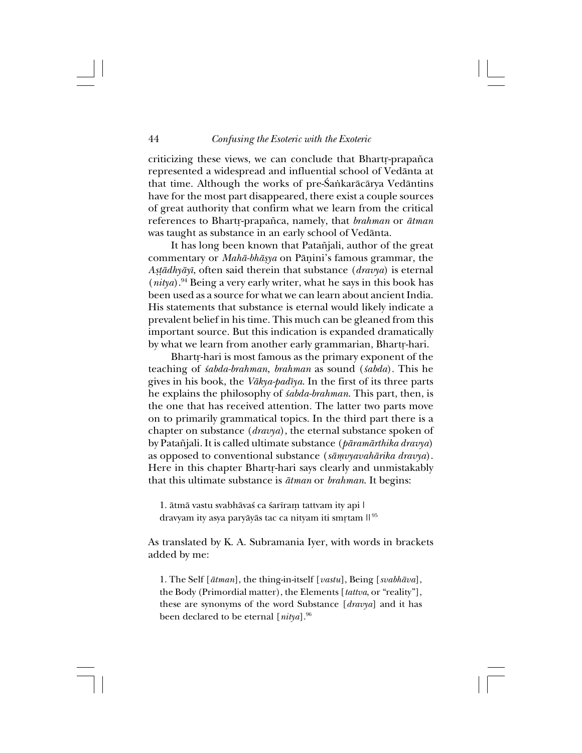criticizing these views, we can conclude that Bhartr-prapañca represented a widespread and influential school of Vedånta at that time. Although the works of pre-Śaṅkarācārya Vedāntins have for the most part disappeared, there exist a couple sources of great authority that confirm what we learn from the critical references to Bhart®-prapa∆ca, namely, that *brahman* or *åtman* was taught as substance in an early school of Vedånta.

It has long been known that Patañjali, author of the great commentary or *Mahå-bhåßya* on Påñini's famous grammar, the *A߆ådhyåyî*, often said therein that substance (*dravya*) is eternal  $(nitya)$ <sup>94</sup> Being a very early writer, what he says in this book has been used as a source for what we can learn about ancient India. His statements that substance is eternal would likely indicate a prevalent belief in his time. This much can be gleaned from this important source. But this indication is expanded dramatically by what we learn from another early grammarian, Bhartr-hari.

Bhartr-hari is most famous as the primary exponent of the teaching of *≈abda-brahman*, *brahman* as sound (*≈abda*). This he gives in his book, the *Våkya-padîya*. In the first of its three parts he explains the philosophy of *sabda-brahman*. This part, then, is the one that has received attention. The latter two parts move on to primarily grammatical topics. In the third part there is a chapter on substance (*dravya*), the eternal substance spoken of by Pata∆jali. It is called ultimate substance (*påramårthika dravya*) as opposed to conventional substance (*såµvyavahårika dravya*). Here in this chapter Bhartr-hari says clearly and unmistakably that this ultimate substance is *åtman* or *brahman*. It begins:

1. ātmā vastu svabhāvas ca sarīram tattvam ity api | dravyam ity asya paryāyās tac ca nityam iti smrtam || 95

As translated by K. A. Subramania Iyer, with words in brackets added by me:

1. The Self [*åtman*], the thing-in-itself [*vastu*], Being [*svabhåva*], the Body (Primordial matter), the Elements [*tattva*, or "reality"], these are synonyms of the word Substance [*dravya*] and it has been declared to be eternal [*nitya*].96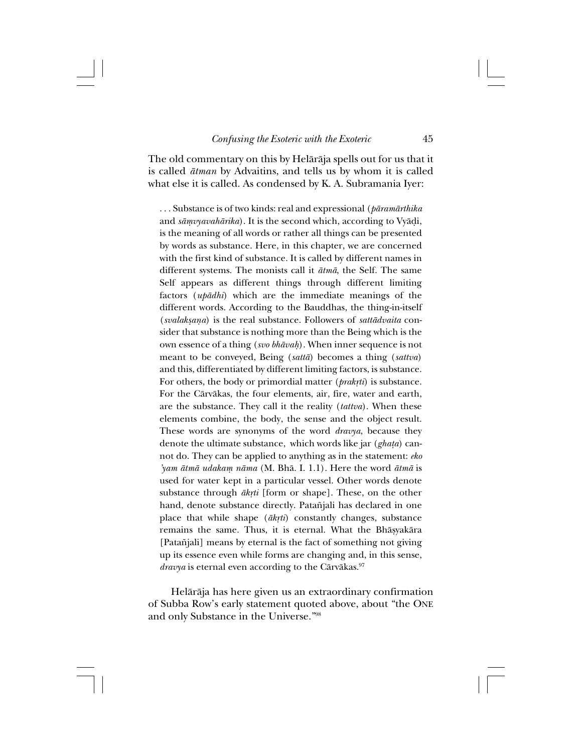The old commentary on this by Helåråja spells out for us that it is called *åtman* by Advaitins, and tells us by whom it is called what else it is called. As condensed by K. A. Subramania Iyer:

. . . Substance is of two kinds: real and expressional (*påramårthika* and *sāmvyavahārika*). It is the second which, according to Vyādi, is the meaning of all words or rather all things can be presented by words as substance. Here, in this chapter, we are concerned with the first kind of substance. It is called by different names in different systems. The monists call it *åtmå*, the Self. The same Self appears as different things through different limiting factors (*upådhi*) which are the immediate meanings of the different words. According to the Bauddhas, the thing-in-itself (*svalakßaña*) is the real substance. Followers of *sattådvaita* consider that substance is nothing more than the Being which is the own essence of a thing (*svo bhāvah*). When inner sequence is not meant to be conveyed, Being (*sattå*) becomes a thing (*sattva*) and this, differentiated by different limiting factors, is substance. For others, the body or primordial matter (*prakrti*) is substance. For the Cårvåkas, the four elements, air, fire, water and earth, are the substance. They call it the reality (*tattva*). When these elements combine, the body, the sense and the object result. These words are synonyms of the word *dravya*, because they denote the ultimate substance, which words like jar (*gha†a*) cannot do. They can be applied to anything as in the statement: *eko 'yam åtmå udakaµ nåma* (M. Bhå. I. 1.1). Here the word *åtmå* is used for water kept in a particular vessel. Other words denote substance through  $\bar{a}$ *krti* [form or shape]. These, on the other hand, denote substance directly. Patañjali has declared in one place that while shape ( $\bar{a}$ krti) constantly changes, substance remains the same. Thus, it is eternal. What the Bhāsyakāra [Patañjali] means by eternal is the fact of something not giving up its essence even while forms are changing and, in this sense, *dravya* is eternal even according to the Cārvākas.<sup>97</sup>

Helåråja has here given us an extraordinary confirmation of Subba Row's early statement quoted above, about "the ONE and only Substance in the Universe."98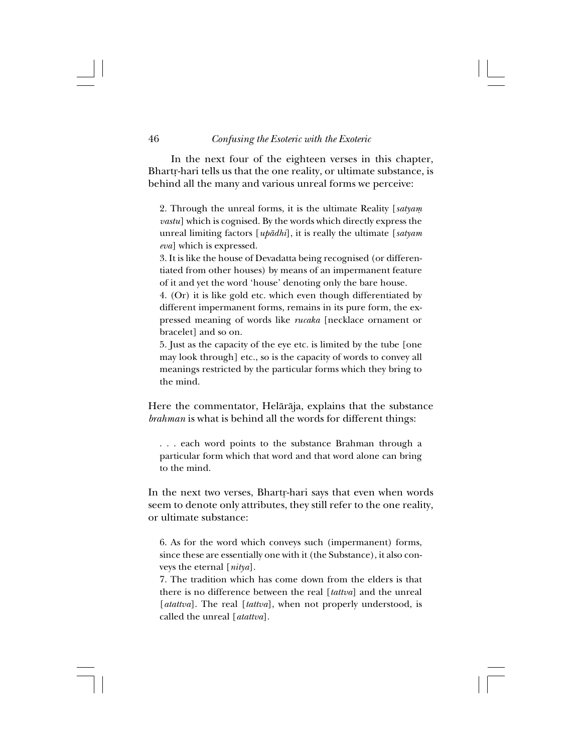46 *Confusing the Esoteric with the Exoteric*

In the next four of the eighteen verses in this chapter, Bhartr-hari tells us that the one reality, or ultimate substance, is behind all the many and various unreal forms we perceive:

2. Through the unreal forms, it is the ultimate Reality [*satyaµ vastu*] which is cognised. By the words which directly express the unreal limiting factors [*upådhi*], it is really the ultimate [*satyam eva*] which is expressed.

3. It is like the house of Devadatta being recognised (or differentiated from other houses) by means of an impermanent feature of it and yet the word 'house' denoting only the bare house.

4. (Or) it is like gold etc. which even though differentiated by different impermanent forms, remains in its pure form, the expressed meaning of words like *rucaka* [necklace ornament or bracelet] and so on.

5. Just as the capacity of the eye etc. is limited by the tube [one may look through] etc., so is the capacity of words to convey all meanings restricted by the particular forms which they bring to the mind.

Here the commentator, Helåråja, explains that the substance *brahman* is what is behind all the words for different things:

. . . each word points to the substance Brahman through a particular form which that word and that word alone can bring to the mind.

In the next two verses, Bhartr-hari says that even when words seem to denote only attributes, they still refer to the one reality, or ultimate substance:

6. As for the word which conveys such (impermanent) forms, since these are essentially one with it (the Substance), it also conveys the eternal [*nitya*].

7. The tradition which has come down from the elders is that there is no difference between the real [*tattva*] and the unreal [ $atatva$ ]. The real [ $tattva$ ], when not properly understood, is called the unreal [*atattva*].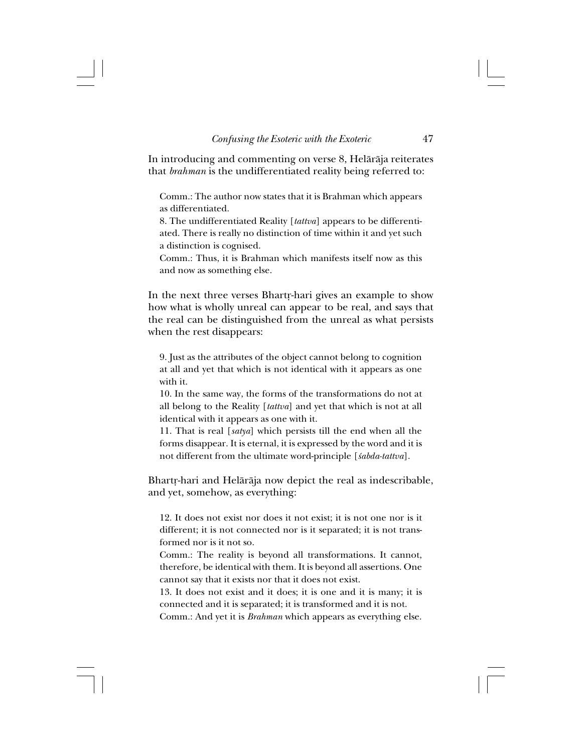In introducing and commenting on verse 8, Helåråja reiterates that *brahman* is the undifferentiated reality being referred to:

Comm.: The author now states that it is Brahman which appears as differentiated.

8. The undifferentiated Reality [*tattva*] appears to be differentiated. There is really no distinction of time within it and yet such a distinction is cognised.

Comm.: Thus, it is Brahman which manifests itself now as this and now as something else.

In the next three verses Bhartr-hari gives an example to show how what is wholly unreal can appear to be real, and says that the real can be distinguished from the unreal as what persists when the rest disappears:

9. Just as the attributes of the object cannot belong to cognition at all and yet that which is not identical with it appears as one with it.

10. In the same way, the forms of the transformations do not at all belong to the Reality [*tattva*] and yet that which is not at all identical with it appears as one with it.

11. That is real [*satya*] which persists till the end when all the forms disappear. It is eternal, it is expressed by the word and it is not different from the ultimate word-principle [*≈abda-tattva*].

Bhartr-hari and Helārāja now depict the real as indescribable, and yet, somehow, as everything:

12. It does not exist nor does it not exist; it is not one nor is it different; it is not connected nor is it separated; it is not transformed nor is it not so.

Comm.: The reality is beyond all transformations. It cannot, therefore, be identical with them. It is beyond all assertions. One cannot say that it exists nor that it does not exist.

13. It does not exist and it does; it is one and it is many; it is connected and it is separated; it is transformed and it is not.

Comm.: And yet it is *Brahman* which appears as everything else.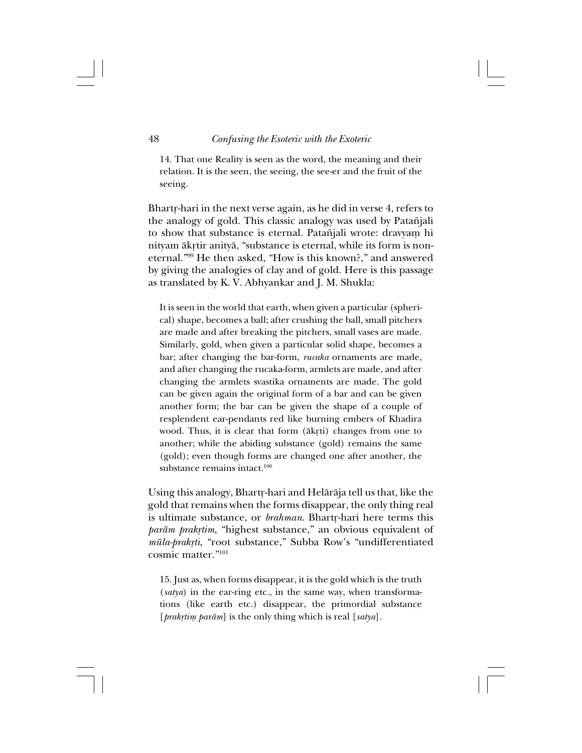14. That one Reality is seen as the word, the meaning and their relation. It is the seen, the seeing, the see-er and the fruit of the seeing.

Bhartr-hari in the next verse again, as he did in verse 4, refers to the analogy of gold. This classic analogy was used by Patañjali to show that substance is eternal. Patañjali wrote: dravyam hi nityam ākrtir anityā, "substance is eternal, while its form is noneternal."99 He then asked, "How is this known?," and answered by giving the analogies of clay and of gold. Here is this passage as translated by K. V. Abhyankar and J. M. Shukla:

It is seen in the world that earth, when given a particular (spherical) shape, becomes a ball; after crushing the ball, small pitchers are made and after breaking the pitchers, small vases are made. Similarly, gold, when given a particular solid shape, becomes a bar; after changing the bar-form, *rucaka* ornaments are made, and after changing the rucaka-form, armlets are made, and after changing the armlets svastika ornaments are made. The gold can be given again the original form of a bar and can be given another form; the bar can be given the shape of a couple of resplendent ear-pendants red like burning embers of Khadira wood. Thus, it is clear that form ( $\bar{a}$ krti) changes from one to another; while the abiding substance (gold) remains the same (gold); even though forms are changed one after another, the substance remains intact.100

Using this analogy, Bhartr-hari and Helārāja tell us that, like the gold that remains when the forms disappear, the only thing real is ultimate substance, or *brahman*. Bhartr-hari here terms this *parām prakņtim*, "highest substance," an obvious equivalent of *müla-prak®ti*, "root substance," Subba Row's "undifferentiated cosmic matter."101

15. Just as, when forms disappear, it is the gold which is the truth (*satya*) in the ear-ring etc., in the same way, when transformations (like earth etc.) disappear, the primordial substance [*prakrtim parām*] is the only thing which is real [*satya*].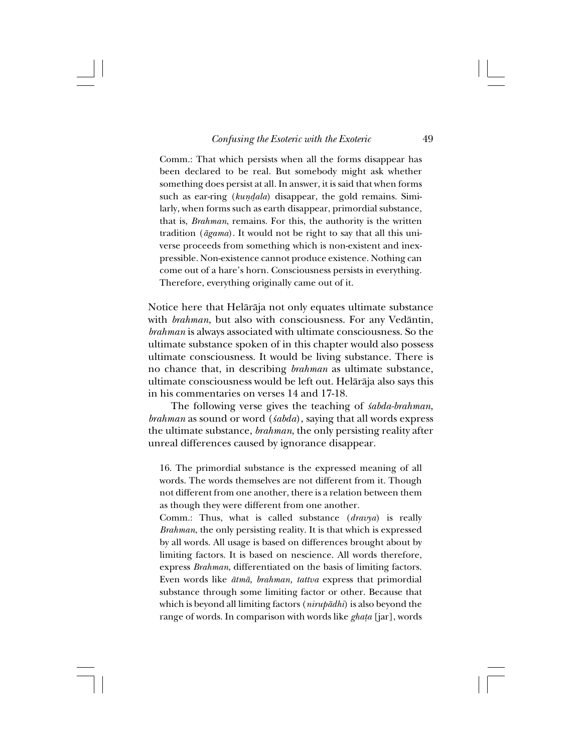Comm.: That which persists when all the forms disappear has been declared to be real. But somebody might ask whether something does persist at all. In answer, it is said that when forms such as ear-ring (*kundala*) disappear, the gold remains. Similarly, when forms such as earth disappear, primordial substance, that is, *Brahman*, remains. For this, the authority is the written tradition (*ågama*). It would not be right to say that all this universe proceeds from something which is non-existent and inexpressible. Non-existence cannot produce existence. Nothing can come out of a hare's horn. Consciousness persists in everything. Therefore, everything originally came out of it.

Notice here that Helåråja not only equates ultimate substance with *brahman*, but also with consciousness. For any Vedåntin, *brahman* is always associated with ultimate consciousness. So the ultimate substance spoken of in this chapter would also possess ultimate consciousness. It would be living substance. There is no chance that, in describing *brahman* as ultimate substance, ultimate consciousness would be left out. Helåråja also says this in his commentaries on verses 14 and 17-18.

The following verse gives the teaching of *sabda-brahman*, *brahman* as sound or word (*sabda*), saying that all words express the ultimate substance, *brahman*, the only persisting reality after unreal differences caused by ignorance disappear.

16. The primordial substance is the expressed meaning of all words. The words themselves are not different from it. Though not different from one another, there is a relation between them as though they were different from one another.

Comm.: Thus, what is called substance (*dravya*) is really *Brahman*, the only persisting reality. It is that which is expressed by all words. All usage is based on differences brought about by limiting factors. It is based on nescience. All words therefore, express *Brahman*, differentiated on the basis of limiting factors. Even words like *åtmå, brahman, tattva* express that primordial substance through some limiting factor or other. Because that which is beyond all limiting factors (*nirupådhi*) is also beyond the range of words. In comparison with words like *gha†a* [jar], words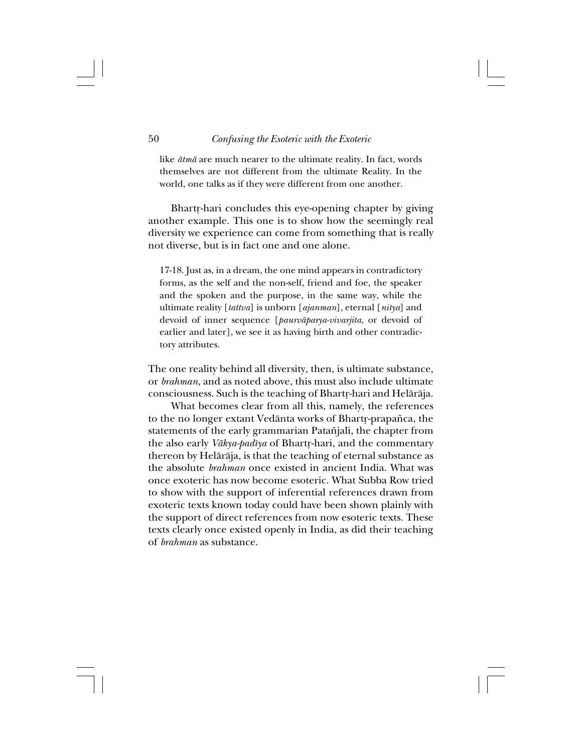like *åtmå* are much nearer to the ultimate reality. In fact, words themselves are not different from the ultimate Reality. In the world, one talks as if they were different from one another.

Bhartr-hari concludes this eye-opening chapter by giving another example. This one is to show how the seemingly real diversity we experience can come from something that is really not diverse, but is in fact one and one alone.

17-18. Just as, in a dream, the one mind appears in contradictory forms, as the self and the non-self, friend and foe, the speaker and the spoken and the purpose, in the same way, while the ultimate reality [*tattva*] is unborn [*ajanman*], eternal [*nitya*] and devoid of inner sequence [*paurvåparya-vivarjita*, or devoid of earlier and later], we see it as having birth and other contradictory attributes.

The one reality behind all diversity, then, is ultimate substance, or *brahman*, and as noted above, this must also include ultimate consciousness. Such is the teaching of Bhartr-hari and Helārāja.

What becomes clear from all this, namely, the references to the no longer extant Vedānta works of Bhartr-prapañca, the statements of the early grammarian Patañjali, the chapter from the also early *Vākya-padīya* of Bhartr-hari, and the commentary thereon by Helåråja, is that the teaching of eternal substance as the absolute *brahman* once existed in ancient India. What was once exoteric has now become esoteric. What Subba Row tried to show with the support of inferential references drawn from exoteric texts known today could have been shown plainly with the support of direct references from now esoteric texts. These texts clearly once existed openly in India, as did their teaching of *brahman* as substance.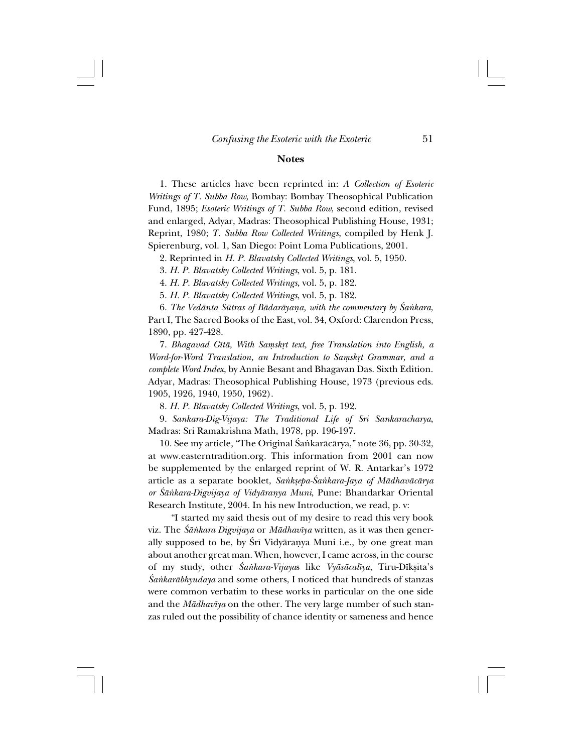# **Notes**

1. These articles have been reprinted in: *A Collection of Esoteric Writings of T. Subba Row*, Bombay: Bombay Theosophical Publication Fund, 1895; *Esoteric Writings of T. Subba Row*, second edition, revised and enlarged, Adyar, Madras: Theosophical Publishing House, 1931; Reprint, 1980; *T. Subba Row Collected Writings*, compiled by Henk J. Spierenburg, vol. 1, San Diego: Point Loma Publications, 2001.

2. Reprinted in *H. P. Blavatsky Collected Writings*, vol. 5, 1950.

3. *H. P. Blavatsky Collected Writings*, vol. 5, p. 181.

4. *H. P. Blavatsky Collected Writings*, vol. 5, p. 182.

5. *H. P. Blavatsky Collected Writings*, vol. 5, p. 182.

6. *The Vedānta Sūtras of Bādarāyana, with the commentary by Śankara*, Part I, The Sacred Books of the East, vol. 34, Oxford: Clarendon Press, 1890, pp. 427-428.

7. *Bhagavad Gîtå, With Saµsk®t text, free Translation into English, a Word-for-Word Translation, an Introduction to Samskrt Grammar, and a complete Word Index*, by Annie Besant and Bhagavan Das. Sixth Edition. Adyar, Madras: Theosophical Publishing House, 1973 (previous eds. 1905, 1926, 1940, 1950, 1962).

8. *H. P. Blavatsky Collected Writings*, vol. 5, p. 192.

9. *Sankara-Dig-Vijaya: The Traditional Life of Sri Sankaracharya*, Madras: Sri Ramakrishna Math, 1978, pp. 196-197.

10. See my article, "The Original Śaṅkarācārya," note 36, pp. 30-32, at www.easterntradition.org. This information from 2001 can now be supplemented by the enlarged reprint of W. R. Antarkar's 1972 article as a separate booklet, *Sa∫kßepa-˛a∫kara-Jaya of Mådhavåcårya or ˛å∫kara-Digvijaya of Vidyårañya Muni*, Pune: Bhandarkar Oriental Research Institute, 2004. In his new Introduction, we read, p. v:

"I started my said thesis out of my desire to read this very book viz. The *˛å∫kara Digvijaya* or *Mådhavîya* written, as it was then generally supposed to be, by Śrī Vidyāranya Muni i.e., by one great man about another great man. When, however, I came across, in the course of my study, other *˛a∫kara-Vijaya*s like *Vyåsåcalîya*, Tiru-Dîkßita's *˛a∫karåbhyudaya* and some others, I noticed that hundreds of stanzas were common verbatim to these works in particular on the one side and the *Mådhavîya* on the other. The very large number of such stanzas ruled out the possibility of chance identity or sameness and hence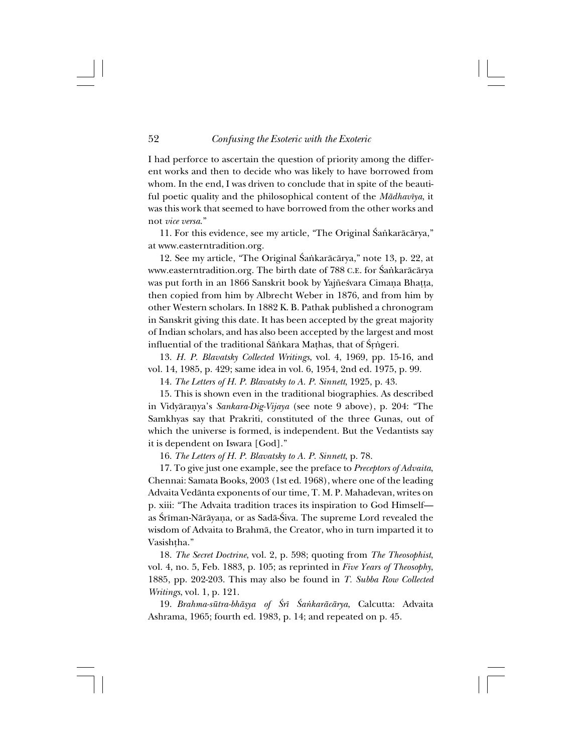I had perforce to ascertain the question of priority among the different works and then to decide who was likely to have borrowed from whom. In the end, I was driven to conclude that in spite of the beautiful poetic quality and the philosophical content of the *Mådhavîya*, it was this work that seemed to have borrowed from the other works and not *vice versa*."

11. For this evidence, see my article, "The Original Śańkarācārya," at www.easterntradition.org.

12. See my article, "The Original Śankarācārya," note 13, p. 22, at www.easterntradition.org. The birth date of 788 C.E. for Śańkarācārya was put forth in an 1866 Sanskrit book by Yajñeśvara Cimaña Bhațța, then copied from him by Albrecht Weber in 1876, and from him by other Western scholars. In 1882 K. B. Pathak published a chronogram in Sanskrit giving this date. It has been accepted by the great majority of Indian scholars, and has also been accepted by the largest and most influential of the traditional Śāṅkara Maṭhas, that of Śṛṅgeri.

13. *H. P. Blavatsky Collected Writings*, vol. 4, 1969, pp. 15-16, and vol. 14, 1985, p. 429; same idea in vol. 6, 1954, 2nd ed. 1975, p. 99.

14. *The Letters of H. P. Blavatsky to A. P. Sinnett*, 1925, p. 43.

15. This is shown even in the traditional biographies. As described in Vidyårañya's *Sankara-Dig-Vijaya* (see note 9 above), p. 204: "The Samkhyas say that Prakriti, constituted of the three Gunas, out of which the universe is formed, is independent. But the Vedantists say it is dependent on Iswara [God]."

16. *The Letters of H. P. Blavatsky to A. P. Sinnett*, p. 78.

17. To give just one example, see the preface to *Preceptors of Advaita*, Chennai: Samata Books, 2003 (1st ed. 1968), where one of the leading Advaita Vedånta exponents of our time, T. M. P. Mahadevan, writes on p. xiii: "The Advaita tradition traces its inspiration to God Himself as Śrīman-Nārāyana, or as Sadā-Śiva. The supreme Lord revealed the wisdom of Advaita to Brahmå, the Creator, who in turn imparted it to Vasishtha."

18. *The Secret Doctrine*, vol. 2, p. 598; quoting from *The Theosophist*, vol. 4, no. 5, Feb. 1883, p. 105; as reprinted in *Five Years of Theosophy*, 1885, pp. 202-203. This may also be found in *T. Subba Row Collected Writings*, vol. 1, p. 121.

19. *Brahma-sūtra-bhāṣya of Śrī Śaṅkarācārya*, Calcutta: Advaita Ashrama, 1965; fourth ed. 1983, p. 14; and repeated on p. 45.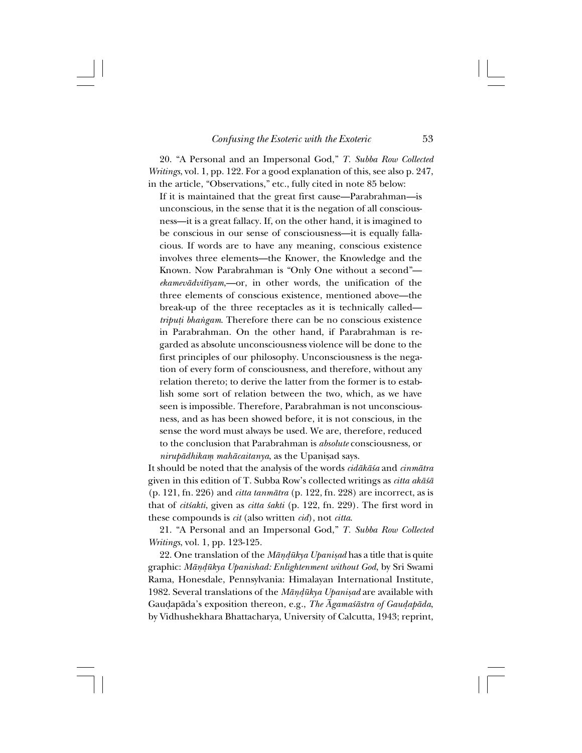20. "A Personal and an Impersonal God," *T. Subba Row Collected Writings*, vol. 1, pp. 122. For a good explanation of this, see also p. 247, in the article, "Observations," etc., fully cited in note 85 below:

If it is maintained that the great first cause—Parabrahman—is unconscious, in the sense that it is the negation of all consciousness—it is a great fallacy. If, on the other hand, it is imagined to be conscious in our sense of consciousness—it is equally fallacious. If words are to have any meaning, conscious existence involves three elements—the Knower, the Knowledge and the Known. Now Parabrahman is "Only One without a second" *ekamevådvitîyam*,—or, in other words, the unification of the three elements of conscious existence, mentioned above—the break-up of the three receptacles as it is technically called *triputi bhangam*. Therefore there can be no conscious existence in Parabrahman. On the other hand, if Parabrahman is regarded as absolute unconsciousness violence will be done to the first principles of our philosophy. Unconsciousness is the negation of every form of consciousness, and therefore, without any relation thereto; to derive the latter from the former is to establish some sort of relation between the two, which, as we have seen is impossible. Therefore, Parabrahman is not unconsciousness, and as has been showed before, it is not conscious, in the sense the word must always be used. We are, therefore, reduced to the conclusion that Parabrahman is *absolute* consciousness, or  $nirupādhikam mahācaitanya$ , as the Upanisad says.

It should be noted that the analysis of the words *cidåkå≈a* and *cinmåtra* given in this edition of T. Subba Row's collected writings as *citta akå≈å* (p. 121, fn. 226) and *citta tanmåtra* (p. 122, fn. 228) are incorrect, as is that of *cit≈akti*, given as *citta ≈akti* (p. 122, fn. 229). The first word in these compounds is *cit* (also written *cid*), not *citta*.

21. "A Personal and an Impersonal God," *T. Subba Row Collected Writings*, vol. 1, pp. 123-125.

22. One translation of the *Māṇḍūkya Upaniṣad* has a title that is quite graphic: *Måñ∂ükya Upanishad: Enlightenment without God*, by Sri Swami Rama, Honesdale, Pennsylvania: Himalayan International Institute, 1982. Several translations of the *Māṇḍūkya Upaniṣad* are available with Gauḍapāda's exposition thereon, e.g., *The Āgamaśāstra of Gauḍapāda*, by Vidhushekhara Bhattacharya, University of Calcutta, 1943; reprint,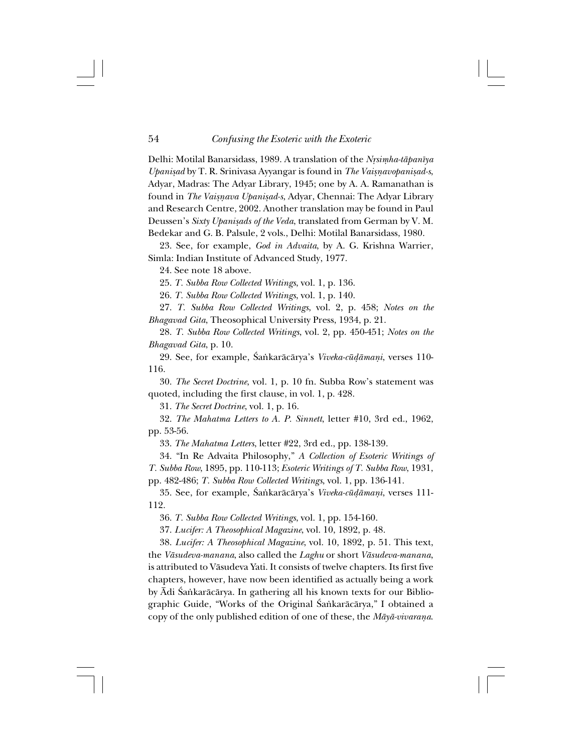Delhi: Motilal Banarsidass, 1989. A translation of the *Nrsimha-tāpanīya Upanisad* by T. R. Srinivasa Ayyangar is found in *The Vaisnavopanisad-s*, Adyar, Madras: The Adyar Library, 1945; one by A. A. Ramanathan is found in *The Vaisnava Upanisad-s*, Adyar, Chennai: The Adyar Library and Research Centre, 2002. Another translation may be found in Paul Deussen's *Sixty Upanisads of the Veda*, translated from German by V. M. Bedekar and G. B. Palsule, 2 vols., Delhi: Motilal Banarsidass, 1980.

23. See, for example, *God in Advaita*, by A. G. Krishna Warrier, Simla: Indian Institute of Advanced Study, 1977.

24. See note 18 above.

25. *T. Subba Row Collected Writings*, vol. 1, p. 136.

26. *T. Subba Row Collected Writings*, vol. 1, p. 140.

27. *T. Subba Row Collected Writings*, vol. 2, p. 458; *Notes on the Bhagavad Gita*, Theosophical University Press, 1934, p. 21.

28. *T. Subba Row Collected Writings*, vol. 2, pp. 450-451; *Notes on the Bhagavad Gita*, p. 10.

29. See, for example, ˛a∫karåcårya's *Viveka-cü∂åmañi*, verses 110- 116.

30. *The Secret Doctrine*, vol. 1, p. 10 fn. Subba Row's statement was quoted, including the first clause, in vol. 1, p. 428.

31. *The Secret Doctrine*, vol. 1, p. 16.

32. *The Mahatma Letters to A. P. Sinnett*, letter #10, 3rd ed., 1962, pp. 53-56.

33. *The Mahatma Letters*, letter #22, 3rd ed., pp. 138-139.

34. "In Re Advaita Philosophy," *A Collection of Esoteric Writings of T. Subba Row*, 1895, pp. 110-113; *Esoteric Writings of T. Subba Row*, 1931, pp. 482-486; *T. Subba Row Collected Writings*, vol. 1, pp. 136-141.

35. See, for example, ˛a∫karåcårya's *Viveka-cü∂åmañi*, verses 111- 112.

36. *T. Subba Row Collected Writings*, vol. 1, pp. 154-160.

37. *Lucifer: A Theosophical Magazine*, vol. 10, 1892, p. 48.

38. *Lucifer: A Theosophical Magazine*, vol. 10, 1892, p. 51. This text, the *Våsudeva-manana*, also called the *Laghu* or short *Våsudeva-manana*, is attributed to Våsudeva Yati. It consists of twelve chapters. Its first five chapters, however, have now been identified as actually being a work by Ādi Śankarācārya. In gathering all his known texts for our Bibliographic Guide, "Works of the Original Śankarācārya," I obtained a copy of the only published edition of one of these, the *Måyå-vivaraña*.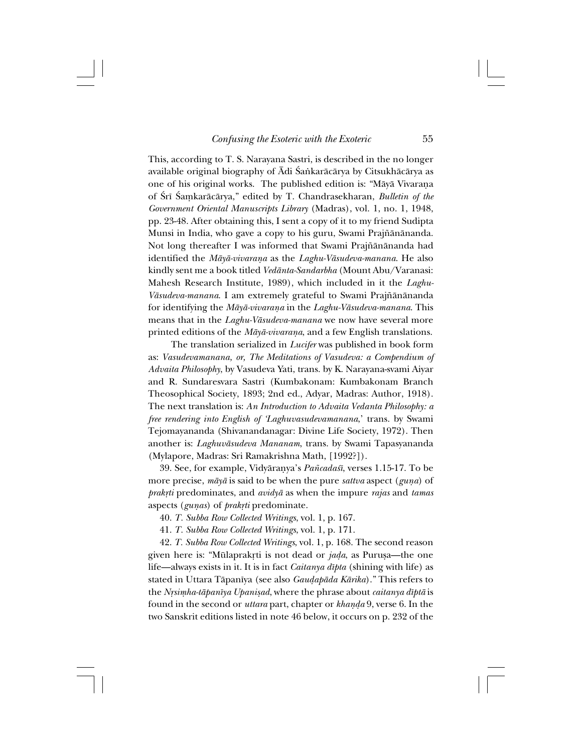This, according to T. S. Narayana Sastri, is described in the no longer available original biography of Ādi Śankarācārya by Citsukhācārya as one of his original works. The published edition is: "Måyå Vivaraña of Śrī Śaṃkarācārya," edited by T. Chandrasekharan, *Bulletin of the Government Oriental Manuscripts Library* (Madras), vol. 1, no. 1, 1948, pp. 23-48. After obtaining this, I sent a copy of it to my friend Sudipta Munsi in India, who gave a copy to his guru, Swami Prajñānānanda. Not long thereafter I was informed that Swami Prajñānānanda had identified the *Måyå-vivaraña* as the *Laghu-Våsudeva-manana*. He also kindly sent me a book titled *Vedånta-Sandarbha* (Mount Abu/Varanasi: Mahesh Research Institute, 1989), which included in it the *Laghu-Vāsudeva-manana*. I am extremely grateful to Swami Prajñānānanda for identifying the *Måyå-vivaraña* in the *Laghu-Våsudeva-manana*. This means that in the *Laghu-Våsudeva-manana* we now have several more printed editions of the *Måyå-vivaraña*, and a few English translations.

The translation serialized in *Lucifer* was published in book form as: *Vasudevamanana, or, The Meditations of Vasudeva: a Compendium of Advaita Philosophy*, by Vasudeva Yati, trans. by K. Narayana-svami Aiyar and R. Sundaresvara Sastri (Kumbakonam: Kumbakonam Branch Theosophical Society, 1893; 2nd ed., Adyar, Madras: Author, 1918). The next translation is: *An Introduction to Advaita Vedanta Philosophy: a free rendering into English of 'Laghuvasudevamanana*,' trans. by Swami Tejomayananda (Shivanandanagar: Divine Life Society, 1972). Then another is: *Laghuvåsudeva Mananam*, trans. by Swami Tapasyananda (Mylapore, Madras: Sri Ramakrishna Math, [1992?]).

39. See, for example, Vidyårañya's *Pa∆cada≈î*, verses 1.15-17. To be more precise,  $m\bar{a}y\bar{a}$  is said to be when the pure *sattva* aspect (*guna*) of *prak®ti* predominates, and *avidyå* as when the impure *rajas* and *tamas* aspects (*gunas*) of *prakrti* predominate.

40. *T. Subba Row Collected Writings*, vol. 1, p. 167.

41. *T. Subba Row Collected Writings*, vol. 1, p. 171.

42. *T. Subba Row Collected Writings*, vol. 1, p. 168. The second reason given here is: "Mūlaprakṛti is not dead or *jaḍa*, as Puruṣa—the one life—always exists in it. It is in fact *Caitanya dîpta* (shining with life) as stated in Uttara Tåpanîya (see also *Gau∂apåda Kårika*)." This refers to the *Nysimha-tāpanīya Upanişad*, where the phrase about *caitanya dīptā* is found in the second or *uttara* part, chapter or *khañ∂a* 9, verse 6. In the two Sanskrit editions listed in note 46 below, it occurs on p. 232 of the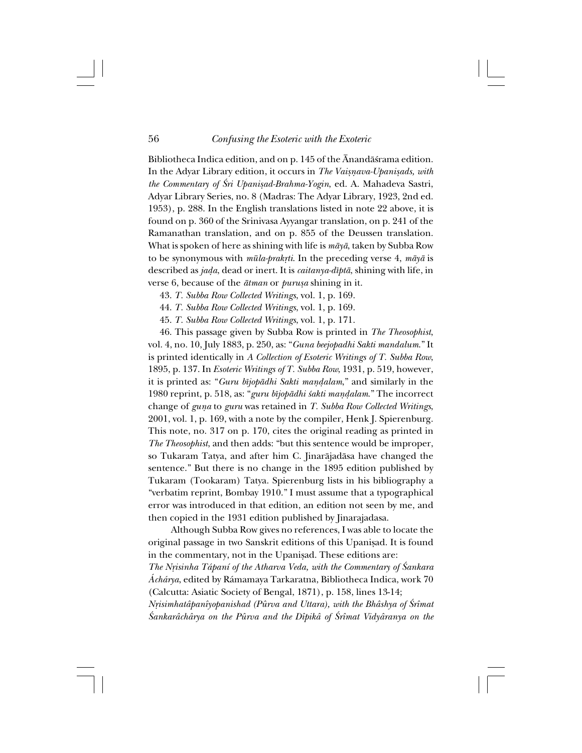Bibliotheca Indica edition, and on p. 145 of the Ānandāśrama edition. In the Adyar Library edition, it occurs in *The Vaisnava-Upanisads, with the Commentary of ˛ri Upanißad-Brahma-Yogin*, ed. A. Mahadeva Sastri, Adyar Library Series, no. 8 (Madras: The Adyar Library, 1923, 2nd ed. 1953), p. 288. In the English translations listed in note 22 above, it is found on p. 360 of the Srinivasa Ayyangar translation, on p. 241 of the Ramanathan translation, and on p. 855 of the Deussen translation. What is spoken of here as shining with life is *måyå*, taken by Subba Row to be synonymous with *mūla-prakrti*. In the preceding verse 4,  $m\bar{a}y\bar{a}$  is described as *ja∂a*, dead or inert. It is *caitanya-dîptå*, shining with life, in verse 6, because of the  $\bar{a}$ *tman* or *purusa* shining in it.

43. *T. Subba Row Collected Writings*, vol. 1, p. 169.

44. *T. Subba Row Collected Writings*, vol. 1, p. 169.

45. *T. Subba Row Collected Writings*, vol. 1, p. 171.

46. This passage given by Subba Row is printed in *The Theosophist*, vol. 4, no. 10, July 1883, p. 250, as: "*Guna beejopadhi Sakti mandalum*." It is printed identically in *A Collection of Esoteric Writings of T. Subba Row*, 1895, p. 137. In *Esoteric Writings of T. Subba Row*, 1931, p. 519, however, it is printed as: "*Guru bîjopådhi Sakti mañ∂alam*," and similarly in the 1980 reprint, p. 518, as: "*guru bîjopådhi ≈akti mañ∂alam*." The incorrect change of *guña* to *guru* was retained in *T. Subba Row Collected Writings*, 2001, vol. 1, p. 169, with a note by the compiler, Henk J. Spierenburg. This note, no. 317 on p. 170, cites the original reading as printed in *The Theosophist*, and then adds: "but this sentence would be improper, so Tukaram Tatya, and after him C. Jinaråjadåsa have changed the sentence." But there is no change in the 1895 edition published by Tukaram (Tookaram) Tatya. Spierenburg lists in his bibliography a "verbatim reprint, Bombay 1910." I must assume that a typographical error was introduced in that edition, an edition not seen by me, and then copied in the 1931 edition published by Jinarajadasa.

Although Subba Row gives no references, I was able to locate the original passage in two Sanskrit editions of this Upanisad. It is found in the commentary, not in the Upanisad. These editions are:

*The N®isinha Tápaní of the Atharva Veda, with the Commentary of ˛ankara Áchárya*, edited by Rámamaya Tarkaratna, Bibliotheca Indica, work 70 (Calcutta: Asiatic Society of Bengal, 1871), p. 158, lines 13-14;

*Nrisimhatâpanîyopanishad (Pûrva and Uttara), with the Bhâshya of Śrîmat ˛ankarâchârya on the Pûrva and the Dîpikâ of ˛rîmat Vidyâranya on the*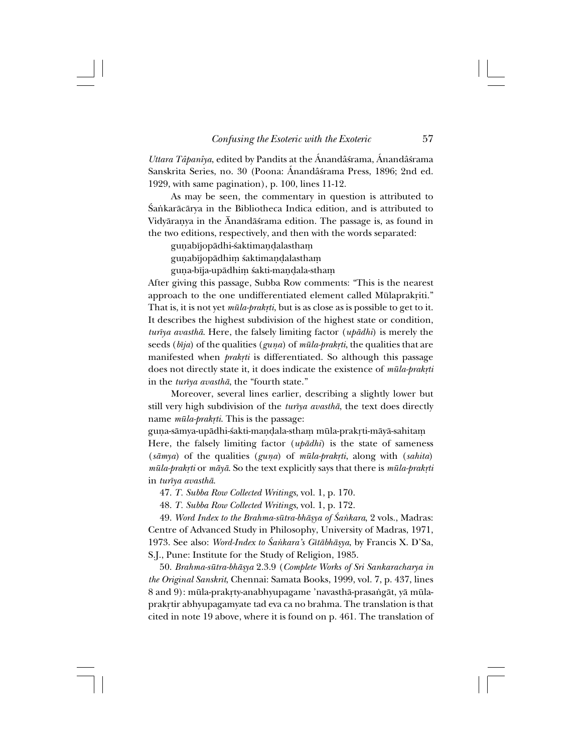*Uttara Tâpanîya*, edited by Pandits at the Ánandâ≈rama, Ánandâ≈rama Sanskrita Series, no. 30 (Poona: Ánandâśrama Press, 1896; 2nd ed. 1929, with same pagination), p. 100, lines 11-12.

As may be seen, the commentary in question is attributed to Śańkarācārya in the Bibliotheca Indica edition, and is attributed to Vidyårañya in the Ånandå≈rama edition. The passage is, as found in the two editions, respectively, and then with the words separated:

gunabījopādhi-śaktimandalastham

gunabījopādhim śaktimandalastham

guṇa-bīja-upādhiṃ śakti-maṇḍala-sthaṃ

After giving this passage, Subba Row comments: "This is the nearest approach to the one undifferentiated element called Mūlaprakriti." That is, it is not yet *mūla-prakrti*, but is as close as is possible to get to it. It describes the highest subdivision of the highest state or condition, *turîya avasthå*. Here, the falsely limiting factor (*upådhi*) is merely the seeds (*bīja*) of the qualities (*guna*) of *mūla-prakrti*, the qualities that are manifested when *prakrti* is differentiated. So although this passage does not directly state it, it does indicate the existence of  $m\bar{u}$ la-prakrti in the *turîya avasthå*, the "fourth state."

Moreover, several lines earlier, describing a slightly lower but still very high subdivision of the *turîya avasthå*, the text does directly name  $m\bar{u}la-prak\tau i$ . This is the passage:

guṇa-sāmya-upādhi-śakti-maṇḍala-sthaṃ mūla-prakṛti-māyā-sahitam Here, the falsely limiting factor (*upådhi*) is the state of sameness (*såmya*) of the qualities (*guña*) of *müla-prak®ti*, along with (*sahita*) *müla-prak®ti* or *måyå*. So the text explicitly says that there is *müla-prak®ti* in *turîya avasthå*.

47. *T. Subba Row Collected Writings*, vol. 1, p. 170.

48. *T. Subba Row Collected Writings*, vol. 1, p. 172.

49. *Word Index to the Brahma-sūtra-bhāsγa of Śankara*, 2 vols., Madras: Centre of Advanced Study in Philosophy, University of Madras, 1971, 1973. See also: *Word-Index to ˛a∫kara's Gîtåbhåßya*, by Francis X. D'Sa, S.J., Pune: Institute for the Study of Religion, 1985.

50. *Brahma-sütra-bhåßya* 2.3.9 (*Complete Works of Sri Sankaracharya in the Original Sanskrit*, Chennai: Samata Books, 1999, vol. 7, p. 437, lines 8 and 9): mūla-prakṛty-anabhyupagame 'navasthā-prasaṅgāt, yā mūlaprakrtir abhyupagamyate tad eva ca no brahma. The translation is that cited in note 19 above, where it is found on p. 461. The translation of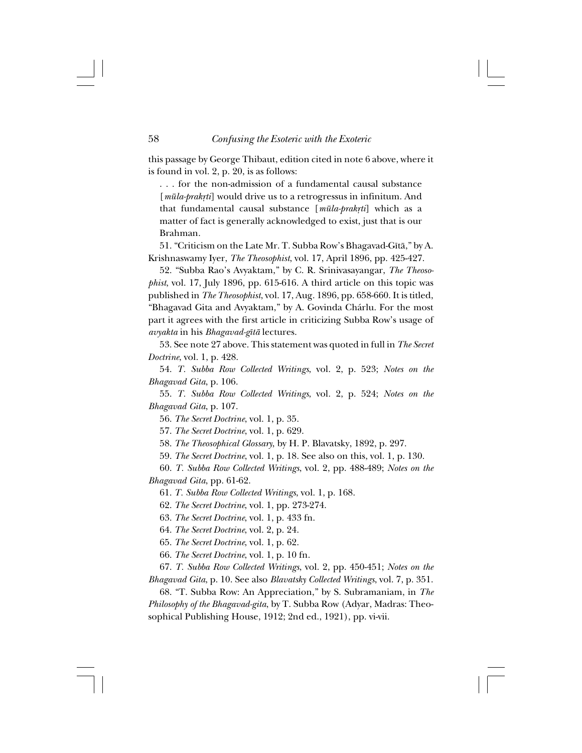this passage by George Thibaut, edition cited in note 6 above, where it is found in vol. 2, p. 20, is as follows:

. . . for the non-admission of a fundamental causal substance [*mūla-prakrti*] would drive us to a retrogressus in infinitum. And that fundamental causal substance [mūla-prakrti] which as a matter of fact is generally acknowledged to exist, just that is our Brahman.

51. "Criticism on the Late Mr. T. Subba Row's Bhagavad-Gîtå," by A. Krishnaswamy Iyer, *The Theosophist*, vol. 17, April 1896, pp. 425-427.

52. "Subba Rao's Avyaktam," by C. R. Srinivasayangar, *The Theosophist*, vol. 17, July 1896, pp. 615-616. A third article on this topic was published in *The Theosophist*, vol. 17, Aug. 1896, pp. 658-660. It is titled, "Bhagavad Gita and Avyaktam," by A. Govinda Chárlu. For the most part it agrees with the first article in criticizing Subba Row's usage of *avyakta* in his *Bhagavad-gîtå* lectures.

53. See note 27 above. This statement was quoted in full in *The Secret Doctrine*, vol. 1, p. 428.

54. *T. Subba Row Collected Writings*, vol. 2, p. 523; *Notes on the Bhagavad Gita*, p. 106.

55. *T. Subba Row Collected Writings*, vol. 2, p. 524; *Notes on the Bhagavad Gita*, p. 107.

56. *The Secret Doctrine*, vol. 1, p. 35.

57. *The Secret Doctrine*, vol. 1, p. 629.

58. *The Theosophical Glossary*, by H. P. Blavatsky, 1892, p. 297.

59. *The Secret Doctrine*, vol. 1, p. 18. See also on this, vol. 1, p. 130.

60. *T. Subba Row Collected Writings*, vol. 2, pp. 488-489; *Notes on the Bhagavad Gita*, pp. 61-62.

61. *T. Subba Row Collected Writings*, vol. 1, p. 168.

62. *The Secret Doctrine*, vol. 1, pp. 273-274.

63. *The Secret Doctrine*, vol. 1, p. 433 fn.

64. *The Secret Doctrine*, vol. 2, p. 24.

65. *The Secret Doctrine*, vol. 1, p. 62.

66. *The Secret Doctrine*, vol. 1, p. 10 fn.

67. *T. Subba Row Collected Writings*, vol. 2, pp. 450-451; *Notes on the Bhagavad Gita*, p. 10. See also *Blavatsky Collected Writings*, vol. 7, p. 351.

68. "T. Subba Row: An Appreciation," by S. Subramaniam, in *The Philosophy of the Bhagavad-gita*, by T. Subba Row (Adyar, Madras: Theosophical Publishing House, 1912; 2nd ed., 1921), pp. vi-vii.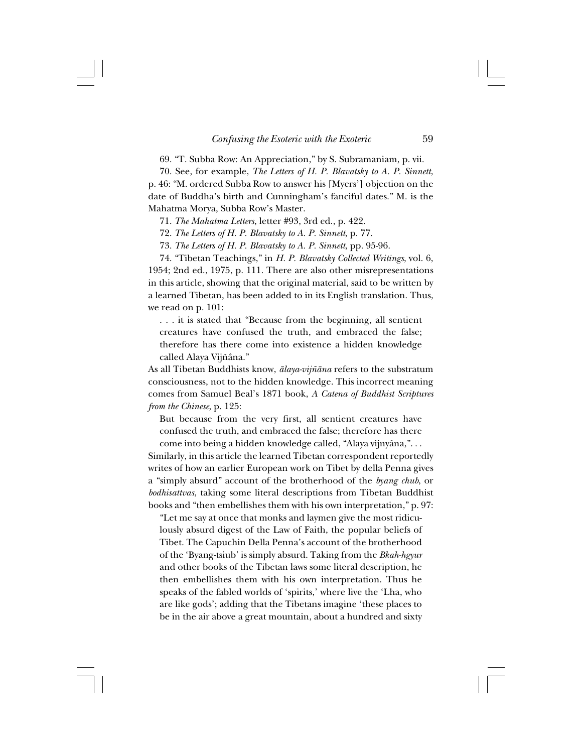69. "T. Subba Row: An Appreciation," by S. Subramaniam, p. vii.

70. See, for example, *The Letters of H. P. Blavatsky to A. P. Sinnett*, p. 46: "M. ordered Subba Row to answer his [Myers'] objection on the date of Buddha's birth and Cunningham's fanciful dates." M. is the Mahatma Morya, Subba Row's Master.

71. *The Mahatma Letters*, letter #93, 3rd ed., p. 422.

72. *The Letters of H. P. Blavatsky to A. P. Sinnett*, p. 77.

73. *The Letters of H. P. Blavatsky to A. P. Sinnett*, pp. 95-96.

74. "Tibetan Teachings," in *H. P. Blavatsky Collected Writings*, vol. 6, 1954; 2nd ed., 1975, p. 111. There are also other misrepresentations in this article, showing that the original material, said to be written by a learned Tibetan, has been added to in its English translation. Thus, we read on p. 101:

. . . it is stated that "Because from the beginning, all sentient creatures have confused the truth, and embraced the false; therefore has there come into existence a hidden knowledge called Alaya Vijñâna."

As all Tibetan Buddhists know, *ālaya-vijñāna* refers to the substratum consciousness, not to the hidden knowledge. This incorrect meaning comes from Samuel Beal's 1871 book, *A Catena of Buddhist Scriptures from the Chinese*, p. 125:

But because from the very first, all sentient creatures have confused the truth, and embraced the false; therefore has there come into being a hidden knowledge called, "Alaya vijnyâna,". . .

Similarly, in this article the learned Tibetan correspondent reportedly writes of how an earlier European work on Tibet by della Penna gives a "simply absurd" account of the brotherhood of the *byang chub*, or *bodhisattvas*, taking some literal descriptions from Tibetan Buddhist books and "then embellishes them with his own interpretation," p. 97:

"Let me say at once that monks and laymen give the most ridiculously absurd digest of the Law of Faith, the popular beliefs of Tibet. The Capuchin Della Penna's account of the brotherhood of the 'Byang-tsiub' is simply absurd. Taking from the *Bkah-hgyur* and other books of the Tibetan laws some literal description, he then embellishes them with his own interpretation. Thus he speaks of the fabled worlds of 'spirits,' where live the 'Lha, who are like gods'; adding that the Tibetans imagine 'these places to be in the air above a great mountain, about a hundred and sixty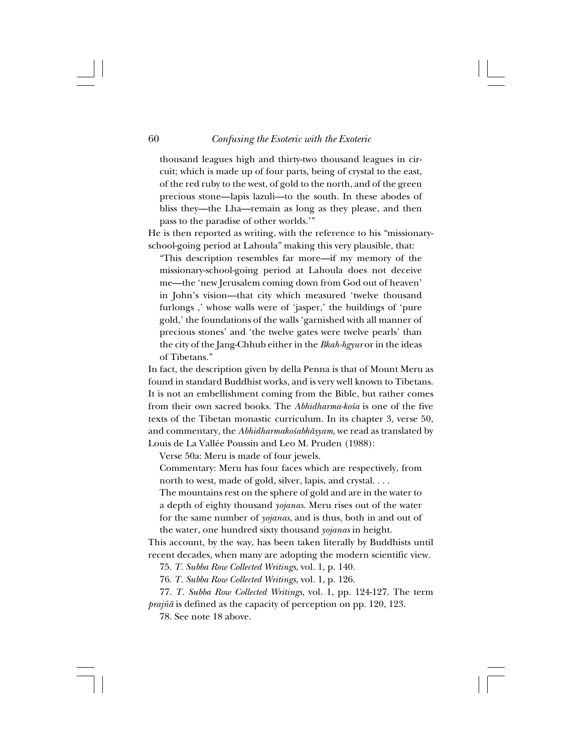thousand leagues high and thirty-two thousand leagues in circuit; which is made up of four parts, being of crystal to the east, of the red ruby to the west, of gold to the north, and of the green precious stone—lapis lazuli—to the south. In these abodes of bliss they—the Lha—remain as long as they please, and then pass to the paradise of other worlds.'"

He is then reported as writing, with the reference to his "missionaryschool-going period at Lahoula" making this very plausible, that:

"This description resembles far more—if my memory of the missionary-school-going period at Lahoula does not deceive me—the 'new Jerusalem coming down from God out of heaven' in John's vision—that city which measured 'twelve thousand furlongs ,' whose walls were of 'jasper,' the buildings of 'pure gold,' the foundations of the walls 'garnished with all manner of precious stones' and 'the twelve gates were twelve pearls' than the city of the Jang-Chhub either in the *Bkah-hgyur* or in the ideas of Tibetans."

In fact, the description given by della Penna is that of Mount Meru as found in standard Buddhist works, and is very well known to Tibetans. It is not an embellishment coming from the Bible, but rather comes from their own sacred books. The *Abhidharma-ko*sa is one of the five texts of the Tibetan monastic curriculum. In its chapter 3, verse 50, and commentary, the *Abhidharmakośabhāsyam*, we read as translated by Louis de La Vallée Poussin and Leo M. Pruden (1988):

Verse 50a: Meru is made of four jewels.

Commentary: Meru has four faces which are respectively, from north to west, made of gold, silver, lapis, and crystal. . . .

The mountains rest on the sphere of gold and are in the water to a depth of eighty thousand *yojanas*. Meru rises out of the water for the same number of *yojanas*, and is thus, both in and out of the water, one hundred sixty thousand *yojanas* in height.

This account, by the way, has been taken literally by Buddhists until recent decades, when many are adopting the modern scientific view.

75. *T. Subba Row Collected Writings*, vol. 1, p. 140.

76. *T. Subba Row Collected Writings*, vol. 1, p. 126.

77. *T. Subba Row Collected Writings*, vol. 1, pp. 124-127. The term *prajña* is defined as the capacity of perception on pp. 120, 123.

78. See note 18 above.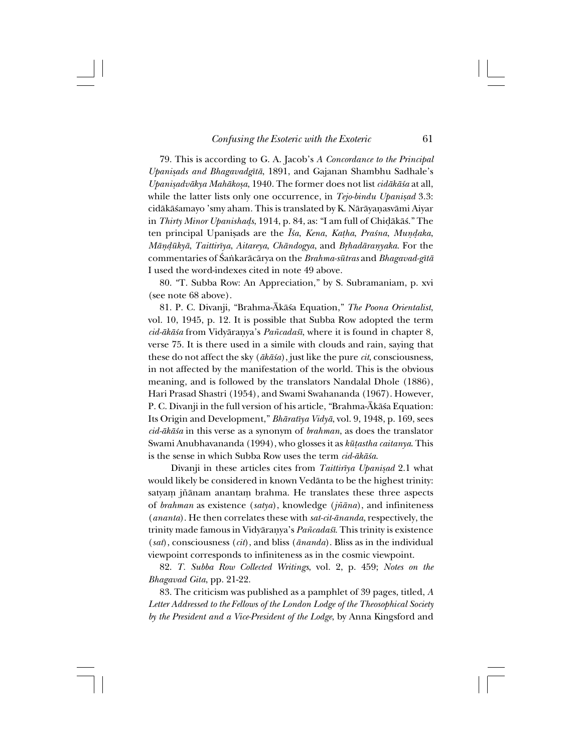79. This is according to G. A. Jacob's *A Concordance to the Principal Upanißads and Bhagavadgîtå*, 1891, and Gajanan Shambhu Sadhale's *Upanißadvåkya Mahåkoßa*, 1940. The former does not list *cidåkå≈a* at all, while the latter lists only one occurrence, in *Tejo-bindu Upanisad* 3.3: cidåkå≈amayo 'smy aham. This is translated by K. Nåråyañasvåmi Aiyar in *Thirty Minor Upanisha∂s*, 1914, p. 84, as: "I am full of Chi∂åkå≈." The ten principal Upanisads are the *Īsa*, *Kena*, *Katha*, *Praśna*, *Mundaka*, *Māṇḍūkyā*, *Taittirīya*, *Aitareya*, *Chāndogya*, and *Bṛhadāraṇyaka*. For the commentaries of ˛a∫karåcårya on the *Brahma-sütras* and *Bhagavad-gîtå* I used the word-indexes cited in note 49 above.

80. "T. Subba Row: An Appreciation," by S. Subramaniam, p. xvi (see note 68 above).

81. P. C. Divanji, "Brahma-Åkå≈a Equation," *The Poona Orientalist*, vol. 10, 1945, p. 12. It is possible that Subba Row adopted the term *cid-ākāśa* from Vidyāranya's *Pañcadaśī*, where it is found in chapter 8, verse 75. It is there used in a simile with clouds and rain, saying that these do not affect the sky (*åkå≈a*), just like the pure *cit*, consciousness, in not affected by the manifestation of the world. This is the obvious meaning, and is followed by the translators Nandalal Dhole (1886), Hari Prasad Shastri (1954), and Swami Swahananda (1967). However, P. C. Divanji in the full version of his article, "Brahma-Ākāśa Equation: Its Origin and Development," *Bhåratîya Vidyå*, vol. 9, 1948, p. 169, sees *cid-åkå≈a* in this verse as a synonym of *brahman*, as does the translator Swami Anubhavananda (1994), who glosses it as *kü†astha caitanya*. This is the sense in which Subba Row uses the term *cid-åkå≈a*.

Divanji in these articles cites from *Taittirīya Upanişad* 2.1 what would likely be considered in known Vedånta to be the highest trinity: satyam jñānam anantam brahma. He translates these three aspects of *brahman* as existence (*satya*), knowledge (*jƌna*), and infiniteness (*ananta*). He then correlates these with *sat-cit-ånanda*, respectively, the trinity made famous in Vidyāraṇya's *Pañcadaśī*. This trinity is existence (*sat*), consciousness (*cit*), and bliss (*ånanda*). Bliss as in the individual viewpoint corresponds to infiniteness as in the cosmic viewpoint.

82. *T. Subba Row Collected Writings*, vol. 2, p. 459; *Notes on the Bhagavad Gita*, pp. 21-22.

83. The criticism was published as a pamphlet of 39 pages, titled, *A Letter Addressed to the Fellows of the London Lodge of the Theosophical Society by the President and a Vice-President of the Lodge*, by Anna Kingsford and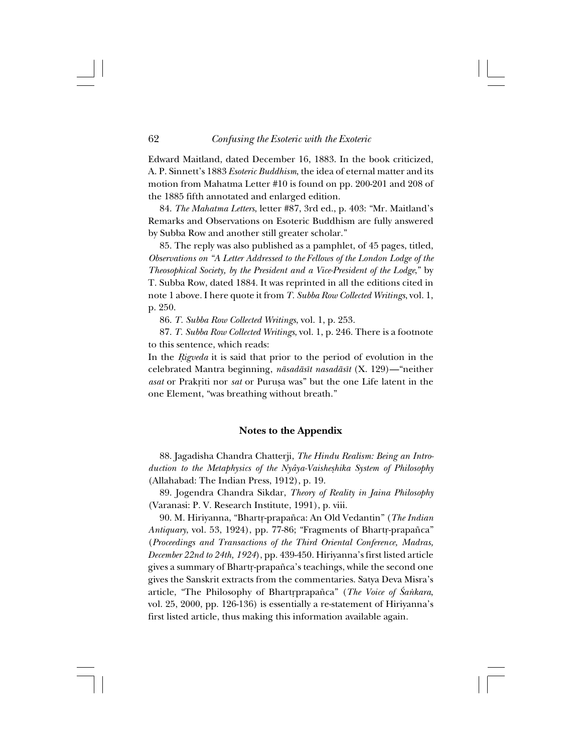Edward Maitland, dated December 16, 1883. In the book criticized, A. P. Sinnett's 1883 *Esoteric Buddhism*, the idea of eternal matter and its motion from Mahatma Letter #10 is found on pp. 200-201 and 208 of the 1885 fifth annotated and enlarged edition.

84. *The Mahatma Letters*, letter #87, 3rd ed., p. 403: "Mr. Maitland's Remarks and Observations on Esoteric Buddhism are fully answered by Subba Row and another still greater scholar."

85. The reply was also published as a pamphlet, of 45 pages, titled, *Observations on "A Letter Addressed to the Fellows of the London Lodge of the Theosophical Society, by the President and a Vice-President of the Lodge*," by T. Subba Row, dated 1884. It was reprinted in all the editions cited in note 1 above. I here quote it from *T. Subba Row Collected Writings*, vol. 1, p. 250.

86. *T. Subba Row Collected Writings*, vol. 1, p. 253.

87. *T. Subba Row Collected Writings*, vol. 1, p. 246. There is a footnote to this sentence, which reads:

In the *Rigveda* it is said that prior to the period of evolution in the celebrated Mantra beginning, *nåsadåsît nasadåsît* (X. 129)—"neither *asat* or Prakriti nor *sat* or Purușa was" but the one Life latent in the one Element, "was breathing without breath."

#### **Notes to the Appendix**

88. Jagadisha Chandra Chatterji, *The Hindu Realism: Being an Introduction to the Metaphysics of the Nyâya-Vaisheßhika System of Philosophy* (Allahabad: The Indian Press, 1912), p. 19.

89. Jogendra Chandra Sikdar, *Theory of Reality in Jaina Philosophy* (Varanasi: P. V. Research Institute, 1991), p. viii.

90. M. Hiriyanna, "Bhartr-prapañca: An Old Vedantin" (*The Indian Antiquary*, vol. 53, 1924), pp. 77-86; "Fragments of Bhartr-prapañca" (*Proceedings and Transactions of the Third Oriental Conference, Madras, December 22nd to 24th, 1924*), pp. 439-450. Hiriyanna's first listed article gives a summary of Bhartr-prapañca's teachings, while the second one gives the Sanskrit extracts from the commentaries. Satya Deva Misra's article, "The Philosophy of Bhartrprapañca" (*The Voice of Śankara*, vol. 25, 2000, pp. 126-136) is essentially a re-statement of Hiriyanna's first listed article, thus making this information available again.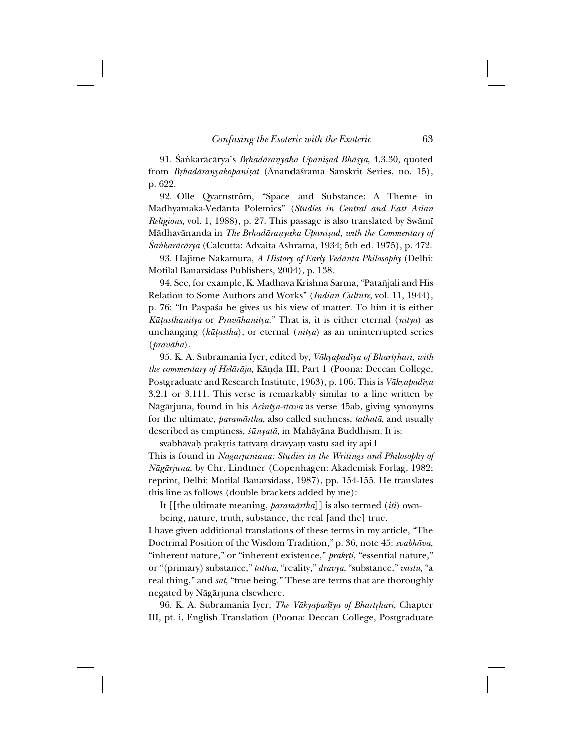91. Śankarācārya's *Brhadāraṇyaka Upaniṣad Bhāṣya*, 4.3.30, quoted from *Brhadāranyakopanişat* (Ānandāśrama Sanskrit Series, no. 15), p. 622.

92. Olle Qvarnström, "Space and Substance: A Theme in Madhyamaka-Vedånta Polemics" (*Studies in Central and East Asian Religions*, vol. 1, 1988), p. 27. This passage is also translated by Swåmî Mādhavānanda in *The Brhadāraṇyaka Upaniṣad, with the Commentary of ˛a∫karåcårya* (Calcutta: Advaita Ashrama, 1934; 5th ed. 1975), p. 472.

93. Hajime Nakamura, *A History of Early Vedånta Philosophy* (Delhi: Motilal Banarsidass Publishers, 2004), p. 138.

94. See, for example, K. Madhava Krishna Sarma, "Patañjali and His Relation to Some Authors and Works" (*Indian Culture*, vol. 11, 1944), p. 76: "In Paspas a he gives us his view of matter. To him it is either *Kü†asthanitya* or *Pravåhanitya*." That is, it is either eternal (*nitya*) as unchanging (*kü†astha*), or eternal (*nitya*) as an uninterrupted series (*pravåha*).

95. K. A. Subramania Iyer, edited by, *Vākyapadīya of Bhartrhari, with the commentary of Helåråja*, Kåñ∂a III, Part 1 (Poona: Deccan College, Postgraduate and Research Institute, 1963), p. 106. This is *Våkyapadîya* 3.2.1 or 3.111. This verse is remarkably similar to a line written by Någårjuna, found in his *Acintya-stava* as verse 45ab, giving synonyms for the ultimate, *paramårtha*, also called suchness, *tathatå*, and usually described as emptiness, *≈ünyatå*, in Mahåyåna Buddhism. It is:

svabhāvaḥ prakṛtis tattvaṃ dravyaṃ vastu sad ity api | This is found in *Nagarjuniana: Studies in the Writings and Philosophy of Någårjuna*, by Chr. Lindtner (Copenhagen: Akademisk Forlag, 1982; reprint, Delhi: Motilal Banarsidass, 1987), pp. 154-155. He translates this line as follows (double brackets added by me):

It [[the ultimate meaning, *paramårtha*]] is also termed (*iti*) own-

being, nature, truth, substance, the real [and the] true.

I have given additional translations of these terms in my article, "The Doctrinal Position of the Wisdom Tradition," p. 36, note 45: *svabhåva*, "inherent nature," or "inherent existence," *prakrti*, "essential nature," or "(primary) substance," *tattva*, "reality," *dravya*, "substance," *vastu*, "a real thing," and *sat*, "true being." These are terms that are thoroughly negated by Någårjuna elsewhere.

96. K. A. Subramania Iyer, *The Vākyapadīya of Bhartrhari*, Chapter III, pt. i, English Translation (Poona: Deccan College, Postgraduate